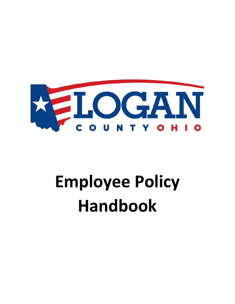

# **Employee Policy Handbook**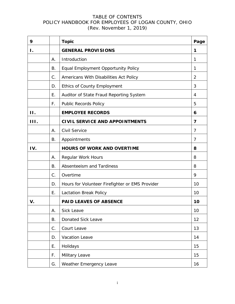| 9    |    | <b>Topic</b>                                    | Page           |
|------|----|-------------------------------------------------|----------------|
| Ι.   |    | <b>GENERAL PROVISIONS</b>                       | 1              |
|      | А. | Introduction                                    | 1              |
|      | В. | Equal Employment Opportunity Policy             | 1              |
|      | C. | Americans With Disabilities Act Policy          | $\overline{2}$ |
|      | D. | <b>Ethics of County Employment</b>              | 3              |
|      | Ε. | Auditor of State Fraud Reporting System         | 4              |
|      | F. | <b>Public Records Policy</b>                    | 5              |
| II.  |    | <b>EMPLOYEE RECORDS</b>                         | 6              |
| III. |    | <b>CIVIL SERVICE AND APPOINTMENTS</b>           | 7              |
|      | А. | Civil Service                                   | 7              |
|      | В. | Appointments                                    | 7              |
| IV.  |    | <b>HOURS OF WORK AND OVERTIME</b>               | 8              |
|      | Α. | Regular Work Hours                              | 8              |
|      | В. | Absenteeism and Tardiness                       | 8              |
|      | C. | Overtime                                        | 9              |
|      | D. | Hours for Volunteer Firefighter or EMS Provider | 10             |
|      | Ε. | Lactation Break Policy                          | 10             |
| V.   |    | <b>PAID LEAVES OF ABSENCE</b>                   | 10             |
|      | А. | <b>Sick Leave</b>                               | 10             |
|      | В. | Donated Sick Leave                              | 12             |
|      | C. | Court Leave                                     | 13             |
|      | D. | Vacation Leave                                  | 14             |
|      | Ε. | Holidays                                        | 15             |
|      | F. | Military Leave                                  | 15             |
|      | G. | Weather Emergency Leave                         | 16             |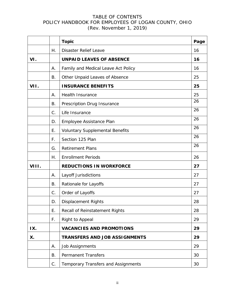|       |    | <b>Topic</b>                           | Page |
|-------|----|----------------------------------------|------|
|       | Η. | <b>Disaster Relief Leave</b>           | 16   |
| VI.   |    | <b>UNPAID LEAVES OF ABSENCE</b>        | 16   |
|       | А. | Family and Medical Leave Act Policy    | 16   |
|       | В. | Other Unpaid Leaves of Absence         | 25   |
| VII.  |    | <b>INSURANCE BENEFITS</b>              | 25   |
|       | А. | <b>Health Insurance</b>                | 25   |
|       | В. | Prescription Drug Insurance            | 26   |
|       | C. | Life Insurance                         | 26   |
|       | D. | Employee Assistance Plan               | 26   |
|       | Ε. | <b>Voluntary Supplemental Benefits</b> | 26   |
|       | F. | Section 125 Plan                       | 26   |
|       | G. | <b>Retirement Plans</b>                | 26   |
|       | Η. | <b>Enrollment Periods</b>              | 26   |
| VIII. |    | <b>REDUCTIONS IN WORKFORCE</b>         | 27   |
|       | Α. | Layoff Jurisdictions                   | 27   |
|       | Β. | Rationale for Layoffs                  | 27   |
|       | C. | Order of Layoffs                       | 27   |
|       | D. | <b>Displacement Rights</b>             | 28   |
|       | E. | Recall of Reinstatement Rights         | 28   |
|       | F. | Right to Appeal                        | 29   |
| IX.   |    | <b>VACANCIES AND PROMOTIONS</b>        | 29   |
| Х.    |    | <b>TRANSFERS AND JOB ASSIGNMENTS</b>   | 29   |
|       | Α. | <b>Job Assignments</b>                 | 29   |
|       | В. | <b>Permanent Transfers</b>             | 30   |
|       | C. | Temporary Transfers and Assignments    | 30   |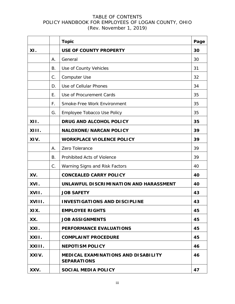|        |    | <b>Topic</b>                                                     | Page |
|--------|----|------------------------------------------------------------------|------|
| XI.    |    | <b>USE OF COUNTY PROPERTY</b>                                    | 30   |
|        | Α. | General                                                          | 30   |
|        | В. | Use of County Vehicles                                           | 31   |
|        | C. | Computer Use                                                     | 32   |
|        | D. | Use of Cellular Phones                                           | 34   |
|        | Е. | Use of Procurement Cards                                         | 35   |
|        | F. | Smoke-Free Work Environment                                      | 35   |
|        | G. | Employee Tobacco Use Policy                                      | 35   |
| XII.   |    | <b>DRUG AND ALCOHOL POLICY</b>                                   | 35   |
| XIII.  |    | <b>NALOXONE/NARCAN POLICY</b>                                    | 39   |
| XIV.   |    | <b>WORKPLACE VIOLENCE POLICY</b>                                 | 39   |
|        | А. | Zero Tolerance                                                   | 39   |
|        | В. | Prohibited Acts of Violence                                      | 39   |
|        | C. | Warning Signs and Risk Factors                                   | 40   |
| XV.    |    | <b>CONCEALED CARRY POLICY</b>                                    | 40   |
| XVI.   |    | UNLAWFUL DISCRIMINATION AND HARASSMENT                           | 40   |
| XVII.  |    | <b>JOB SAFETY</b>                                                | 43   |
| XVIII. |    | <b>INVESTIGATIONS AND DISCIPLINE</b>                             | 43   |
| XIX.   |    | <b>EMPLOYEE RIGHTS</b>                                           | 45   |
| XX.    |    | <b>JOB ASSIGNMENTS</b>                                           | 45   |
| XXI.   |    | <b>PERFORMANCE EVALUATIONS</b>                                   | 45   |
| XXII.  |    | <b>COMPLAINT PROCEDURE</b>                                       | 45   |
| XXIII. |    | <b>NEPOTISM POLICY</b>                                           | 46   |
| XXIV.  |    | <b>MEDICAL EXAMINATIONS AND DISABILITY</b><br><b>SEPARATIONS</b> | 46   |
| XXV.   |    | <b>SOCIAL MEDIA POLICY</b>                                       | 47   |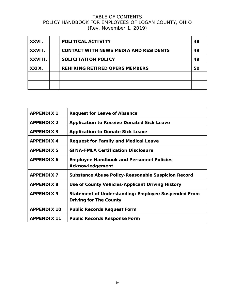| XXVI.   | POLITICAL ACTIVITY                           | 48 |
|---------|----------------------------------------------|----|
| XXVII.  | <b>CONTACT WITH NEWS MEDIA AND RESIDENTS</b> | 49 |
| XXVIII. | SOLICITATION POLICY                          | 49 |
| XXIX.   | <b>REHIRING RETIRED OPERS MEMBERS</b>        | 50 |
|         |                                              |    |
|         |                                              |    |

| <b>APPENDIX 1</b>  | <b>Request for Leave of Absence</b>                        |  |
|--------------------|------------------------------------------------------------|--|
| <b>APPENDIX 2</b>  | <b>Application to Receive Donated Sick Leave</b>           |  |
| <b>APPENDIX 3</b>  | <b>Application to Donate Sick Leave</b>                    |  |
| <b>APPENDIX4</b>   | <b>Request for Family and Medical Leave</b>                |  |
| <b>APPENDIX5</b>   | <b>GINA-FMLA Certification Disclosure</b>                  |  |
| <b>APPENDIX 6</b>  | <b>Employee Handbook and Personnel Policies</b>            |  |
|                    | Acknowledgement                                            |  |
| <b>APPENDIX 7</b>  | <b>Substance Abuse Policy-Reasonable Suspicion Record</b>  |  |
| <b>APPENDIX 8</b>  | Use of County Vehicles-Applicant Driving History           |  |
| <b>APPENDIX 9</b>  | <b>Statement of Understanding: Employee Suspended From</b> |  |
|                    | <b>Driving for The County</b>                              |  |
| <b>APPENDIX 10</b> | <b>Public Records Request Form</b>                         |  |
| <b>APPENDIX 11</b> | <b>Public Records Response Form</b>                        |  |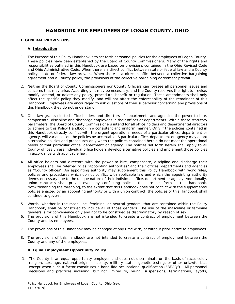#### **I. GENERAL PROVISIONS**

#### **A. Introduction**

- 1. The Purpose of this Policy Handbook is to set forth personnel policies for the employees of Logan County. These policies have been established by the Board of County Commissioners. Many of the rights and responsibilities outlined in this Handbook are based on provisions contained in the Ohio Revised Code and Ohio Administrative Code. When there is a direct conflict between state or federal law and a County policy, state or federal law prevails. When there is a direct conflict between a collective bargaining agreement and a County policy, the provisions of the collective bargaining agreement prevail.
- 2. Neither the Board of County Commissioners nor County Officials can foresee all personnel issues and concerns that may arise. Accordingly, it may be necessary, and the County reserves the right to, revise, modify, amend, or delete any policy, procedure, benefit or regulation. These amendments shall only affect the specific policy they modify, and will not affect the enforceability of the remainder of this Handbook. Employees are encouraged to ask questions of their supervisor concerning any provisions of this Handbook they do not understand.
- 3. Ohio law grants elected office holders and directors of departments and agencies the power to hire, compensate, discipline and discharge employees in their offices or departments. Within these statutory parameters, the Board of County Commissioners intend for all office holders and departmental directors to adhere to this Policy Handbook in a consistent and uniform manner. Only if the policies contained in this Handbook directly conflict with the urgent operational needs of a particular office, department or agency, will variances on the policies be acceptable. A particular office, department or agency may adopt alternative policies and procedures only when the policies contained herein do not meet the operational needs of that particular office, department or agency. The policies set forth herein shall apply to all County offices unless individual office holders develop alternative policies and implement those policies in accordance with applicable law.
- 4. All office holders and directors with the power to hire, compensate, discipline and discharge their employees shall be referred to as "appointing authorities" and their offices, departments and agencies as "County offices". An appointing authority may supplement this Policy Handbook with work rules, policies and procedures which do not conflict with applicable law and which the appointing authority deems necessary due to the unique nature of their individual office, department or agency. Additionally, union contracts shall prevail over any conflicting policies that are set forth in this handbook. Notwithstanding the foregoing, to the extent that this Handbook does not conflict with the supplemental policies enacted by an appointing authority or with a union contract, the policies of this Handbook shall continue to govern.
- 5. Words, whether in the masculine, feminine, or neutral genders, that are contained within the Policy Handbook, shall be construed to include all of those genders. The use of the masculine or feminine genders is for convenience only and not to be construed as discriminatory by reason of sex.
- 6. The provisions of this Handbook are not intended to create a contract of employment between the County and its employees.
- 7. The provisions of this Handbook may be changed at any time with, or without prior notice to employees.
- 8. The provisions of this handbook are not intended to create a contract of employment between the County and any of the employees.

#### **B. Equal Employment Opportunity Policy**

1. The County is an equal opportunity employer and does not discriminate on the basis of race, color, religion, sex, age, national origin, disability, military status, genetic testing, or other unlawful bias except when such a factor constitutes a bona fide occupational qualification ("BFOQ"). All personnel decisions and practices including, but not limited to, hiring, suspensions, terminations, layoffs,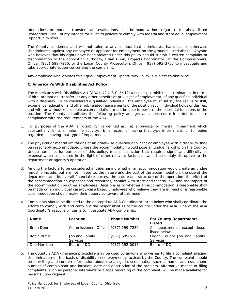demotions, promotions, transfers, and evaluations, shall be made without regard to the above listed categories. The County intends for all of its policies to comply with federal and state equal employment opportunity laws.

The County condemns and will not tolerate any conduct that intimidates, harasses, or otherwise discriminates against any employee or applicant for employment on the grounds listed above. Anyone who believes that his rights have been violated under this policy should submit a written complaint of discrimination to the appointing authority, Brian Dunn, Projects Coordinator, at the Commissioners' Office: (937) 599-7280, or the Logan County Prosecutor's Office: (937) 593-3755 to investigate and take appropriate action concerning the complaint.

Any employee who violates this Equal Employment Opportunity Policy is subject to discipline.

#### **C. American's With Disabilities Act Policy**

The American's with Disabilities Act (ADA), 42 U.S.C. §§12101 et seq., prohibits discrimination, in terms of hire, promotion, transfer, or any other benefits or privileges of employment, of any qualified individual with a disability. To be considered a qualified individual, the employee must satisfy the requisite skill, experience, education and other job related requirements of the position such individual holds or desires, and with or without reasonable accommodation, must be able to perform the essential functions of the position. The County establishes the following policy and grievance procedure in order to ensure compliance with the requirements of the ADA.

- 1. For purposes of the ADA, a "disability" is defined as: (a) a physical or mental impairment which substantially limits a major life activity; (b) a record of having that type impairment; or (c) being regarded as having that type of impairment.
- 2. The physical or mental limitations of an otherwise qualified applicant or employee with a disability shall be reasonably accommodated unless the accommodation would pose an undue hardship on the County. Undue hardship, for purposes of this policy, means an action that requires significant difficulty or expense when considered in the light of other relevant factors or would be unduly disruptive to the department or agency's operation.
- 3. Among the factors to be considered in determining whether an accommodation would create an undue hardship include, but are not limited to, the nature and the cost of the accommodation, the size of the department and its overall financial resources, the nature and structure of the operation, the effect of the accommodation on expenses and resources, conflict with state and federal law, and the impact of the accommodation on other employees. Decisions as to whether an accommodation is reasonable shall be made on an individual case-by-case basis. Employees who believe they are in need of a reasonable accommodation should make their supervisor aware of this need.
- 4. Complaints should be directed to the appropriate ADA Coordinator listed below who shall coordinate the efforts to comply with and carry out the responsibilities of the county under the ADA. One of the ADA Coordinator's responsibilities is to investigate ADA complaints.

| <b>Name</b>  | Location                              | <b>Phone Number</b> | <b>For County Departments</b><br>Listed        |
|--------------|---------------------------------------|---------------------|------------------------------------------------|
| Brian Dunn   | Commissioners Office   (937) 599-7280 |                     | All departments, except those<br>listed below  |
| Robin Butler | Job and Family<br><b>Services</b>     | $(937) 599 - 5165$  | Logan County Job and Family<br><b>Services</b> |
| Deb Morrison | Board of DD                           | (937) 592-0015      | Board of DD                                    |

5. The County's ADA grievance procedure may be used by anyone who wishes to file a complaint alleging discrimination on the basis of disability in employment practices by the County. The complaint should be in writing and contain information about the alleged discrimination such as name, address, phone number of complainant and location, date and description of the problem. Alternative means of filing complaints, such as personal interviews or a tape recording of the complaint, will be made available for persons upon request.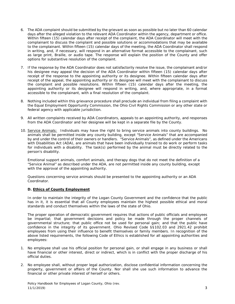- 6. The ADA complaint should be submitted by the grievant as soon as possible but no later than 60 calendar days after the alleged violation to the relevant ADA Coordinator within the agency, department or office. Within fifteen (15) calendar days after receipt of the complaint, the ADA Coordinator will meet with the complainant to discuss the complaint and possible solutions or accommodations that may be available to the complainant. Within fifteen (15) calendar days of the meeting, the ADA Coordinator shall respond in writing, and, if necessary, will respond in an alternative format accessible to the complainant, such as large print, Braille, or audio tape. The response will explain the position of the County and offer options for substantive resolution of the complaint.
- 7. If the response by the ADA Coordinator does not satisfactorily resolve the issue, the complainant and/or his designee may appeal the decision of the ADA Coordinator within fifteen (15) calendar days after receipt of the response to the appointing authority or its designee. Within fifteen calendar days after receipt of the appeal, the appointing authority or its designee will meet with the complainant to discuss the complaint and possible resolutions. Within fifteen (15) calendar days after the meeting, the appointing authority or its designee will respond in writing, and, where appropriate, in a format accessible to the complainant, with a final resolution of the complaint.
- 8. Nothing included within this grievance procedure shall preclude an individual from filing a complaint with the Equal Employment Opportunity Commission, the Ohio Civil Rights Commission or any other state or federal agency with applicable jurisdiction.
- 9. All written complaints received by ADA Coordinators, appeals to an appointing authority, and responses from the ADA Coordinator and her designee will be kept in a separate file by the County.
- 10. Service Animals: Individuals may have the right to bring service animals into county buildings. No animals shall be permitted inside any county building, except "Service Animals" that are accompanied by and under the control of their owners or handlers. "Service Animals", as defined under the Americans with Disabilities Act (ADA), are animals that have been individually trained to do work or perform tasks for individuals with a disability. The task(s) performed by the animal must be directly related to the person's disability.

Emotional support animals, comfort animals, and therapy dogs that do not meet the definition of a "Service Animal" as described under the ADA, are not permitted inside any county building, except with the approval of the appointing authority.

Questions concerning service animals should be presented to the appointing authority or an ADA Coordinator.

#### **D. Ethics of County Employment**

In order to maintain the integrity of the Logan County Government and the confidence that the public has in it, it is essential that all County employees maintain the highest possible ethical and moral standards and conduct themselves within the laws of the state of Ohio.

The proper operation of democratic government requires that actions of public officials and employees be impartial; that government decisions and policy be made through the proper channels of governmental structure; that public office not be used for personal gain; and that the public have confidence in the integrity of its government. Ohio Revised Code §§102.03 and 2921.42 prohibit employees from using their influence to benefit themselves or family members. In recognition of the above listed requirements, the following Code of Ethics is established for all appointing authorities and employees:

- 1. No employee shall use his official position for personal gain, or shall engage in any business or shall have financial or other interest, direct or indirect, which is in conflict with the proper discharge of his official duties.
- 2. No employee shall, without proper legal authorization, disclose confidential information concerning the property, government or affairs of the County. Nor shall she use such information to advance the financial or other private interest of herself or others.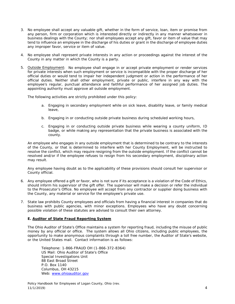- 3. No employee shall accept any valuable gift, whether in the form of service, loan, item or promise from any person, firm or corporation which is interested directly or indirectly in any manner whatsoever in business dealings with the County; nor shall employees accept any gift, favor or item of value that may tend to influence an employee in the discharge of his duties or grant in the discharge of employee duties any improper favor, service or item of value.
- 4. No employee shall represent private interests in any action or proceedings against the interest of the County in any matter in which the County is a party.
- 5. Outside Employment: No employee shall engage in or accept private employment or render services for private interests when such employment or service is incompatible with the proper discharge of her official duties or would tend to impair her independent judgment or action in the performance of her official duties. Neither shall other employment, private or public, interfere in any way with the employee's regular, punctual attendance and faithful performance of her assigned job duties. The appointing authority must approve all outside employment.

The following activities are strictly prohibited under this policy:

- a. Engaging in secondary employment while on sick leave, disability leave, or family medical leave,
- b. Engaging in or conducting outside private business during scheduled working hours,
- c. Engaging in or conducting outside private business while wearing a county uniform, ID badge, or while making any representation that the private business is associated with the county.

An employee who engages in any outside employment that is determined to be contrary to the interests of the County, or that is determined to interfere with her County Employment, will be instructed to resolve the conflict, which may require resigning from the outside employment. If the conflict cannot be resolved and/or if the employee refuses to resign from his secondary employment, disciplinary action may result.

Any employee having doubt as to the applicability of these provisions should consult her supervisor or County official.

- 6. Any employee offered a gift or favor, who is not sure if its acceptance is a violation of the Code of Ethics, should inform his supervisor of the gift offer. The supervisor will make a decision or refer the individual to the Prosecutor's Office. No employee will accept from any contractor or supplier doing business with the County, any material or service for the employee's private use.
- 7. State law prohibits County employees and officials from having a financial interest in companies that do business with public agencies, with minor exceptions. Employees who have any doubt concerning possible violation of these statutes are advised to consult their own attorney.

#### **E. Auditor of State Fraud Reporting System**

The Ohio Auditor of State's Office maintains a system for reporting fraud, including the misuse of public money by any official or office. The system allows all Ohio citizens, including public employees, the opportunity to make anonymous complaints through a toll free number, the Auditor of State's website, or the United States mail. Contact information is as follows:

Telephone: 1-866-FRAUD OH (1-866-372-8364) US Mail: Ohio Auditor of State's Office Special Investigations Unit 88 East Broad Street P.O. Box 1140 Columbus, OH 43215 Web: [www.ohioauditor.gov](http://www.ohioauditor.gov/)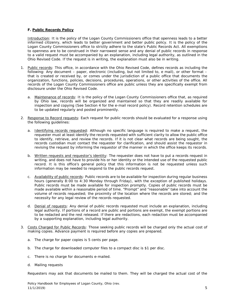#### **F. Public Records Policy**

Introduction: It is the policy of the Logan County Commissioners office that openness leads to a better informed citizenry, which leads to better government and better public policy. It is the policy of the Logan County Commissioners office to strictly adhere to the state's Public Records Act. All exemptions to openness are to be construed in their narrowest sense and any denial of public records in response to a valid request must be accompanied by an explanation, including legal authority, as outlined in the Ohio Revised Code. If the request is in writing, the explanation must also be in writing.

- 1. Public records: This office, in accordance with the Ohio Revised Code, defines records as including the following: Any document – paper, electronic (including, but not limited to, e mail), or other format – that is created or received by, or comes under the jurisdiction of a public office that documents the organization, functions, policies, decisions, procedures, operations, or other activities of the office. All records of the Logan County Commissioners office are public unless they are specifically exempt from disclosure under the Ohio Revised Code.
	- a. Maintenance of records: It is the policy of the Logan County Commissioners office that, as required by Ohio law, records will be organized and maintained so that they are readily available for inspection and copying (See Section 4 for the e-mail record policy). Record retention schedules are to be updated regularly and posted prominently.
- 2. Response to Record requests: Each request for public records should be evaluated for a response using the following guidelines:
	- a. Identifying records requested: Although no specific language is required to make a request, the requester must at least identify the records requested with sufficient clarity to allow the public office to identify, retrieve, and review the records. If it is not clear what records are being sought, the records custodian must contact the requester for clarification, and should assist the requestor in revising the request by informing the requestor of the manner in which the office keeps its records.
	- b. Written requests and requestor's identity: The requester does not have to put a records request in writing, and does not have to provide his or her identity or the intended use of the requested public record. It is this office's general policy that this information is not be requested unless such information may be needed to respond to the public records request.
	- c. Availability of public records: Public records are to be available for inspection during regular business hours (generally 8:00 to 4:30 Monday through Friday), with the exception of published holidays. Public records must be made available for inspection promptly. Copies of public records must be made available within a reasonable period of time. "Prompt" and "reasonable" take into account the volume of records requested; the proximity of the location where the records are stored; and the necessity for any legal review of the records requested.
	- d. Denial of requests: Any denial of public records requested must include an explanation, including legal authority. If portions of a record are public and portions are exempt, the exempt portions are to be redacted and the rest released. If there are redactions, each redaction must be accompanied by a supporting explanation, including legal authority.
- 3. Costs Charged for Public Records: Those seeking public records will be charged only the actual cost of making copies. Advance payment is required before any copies are prepared.
	- a. The charge for paper copies is 5 cents per page.
	- b. The charge for downloaded computer files to a compact disc is \$1 per disc.
	- c. There is no charge for documents e-mailed.
	- d. Mailing requests

Requesters may ask that documents be mailed to them. They will be charged the actual cost of the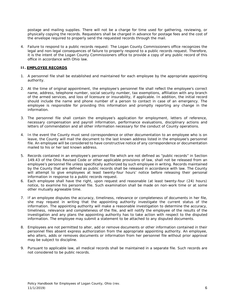postage and mailing supplies. There will not be a charge for time used for gathering, reviewing, or physically copying the records. Requesters shall be charged in advance for postage fees and the cost of the envelope required to properly send the requested records through the mail.

4. Failure to respond to a public records request: The Logan County Commissioners office recognizes the legal and non-legal consequences of failure to properly respond to a public records request. Therefore, it is the intent of the Logan County Commissioners office to provide a copy of any public record of this office in accordance with Ohio law.

#### **II. EMPLOYEE RECORDS**

- 1. A personnel file shall be established and maintained for each employee by the appropriate appointing authority.
- 2. At the time of original appointment, the employee's personnel file shall reflect the employee's correct name, address, telephone number, social security number, tax exemptions, affiliation with any branch of the armed services, and loss of licensure or insurability, if applicable. In addition, the initial record should include the name and phone number of a person to contact in case of an emergency. The employee is responsible for providing this information and promptly reporting any change in the information.
- 3. The personnel file shall contain the employee's application for employment, letters of reference, necessary compensation and payroll information, performance evaluations, disciplinary actions and letters of commendation and all other information necessary for the conduct of County operations.
- 4. In the event the County must send correspondence or other documentation to an employee who is on leave, the County will mail the document to the last known address listed in the employee's personnel file. An employee will be considered to have constructive notice of any correspondence or documentation mailed to his or her last known address.
- 5. Records contained in an employee's personnel file which are not defined as "public records" in Section 149.43 of the Ohio Revised Code or other applicable provisions of law, shall not be released from an employee's personnel file unless specifically authorized by such employee in writing. Records maintained by the County that are defined as public records shall be released in accordance with law. The County will attempt to give employees at least twenty-four hours' notice before releasing their personal information in response to a public records request.
- 6. Each employee shall have the right, upon request and reasonable (at least twenty-four (24) hours) notice, to examine his personnel file. Such examination shall be made on non-work time or at some other mutually agreeable time.
- 7. If an employee disputes the accuracy, timeliness, relevance or completeness of documents in her file, she may request in writing that the appointing authority investigate the current status of the information. The appointing authority will make a reasonable investigation to determine the accuracy, timeliness, relevance and completeness of the file, and will notify the employee of the results of the investigation and any plans the appointing authority has to take action with respect to the disputed information. The employee may submit a statement to be attached to any disputed documents.
- 8. Employees are not permitted to alter, add or remove documents or other information contained in their personnel files absent express authorization from the appropriate appointing authority. An employee, who alters, adds or removes documents or information from her personnel file without prior approval may be subject to discipline.
- 9. Pursuant to applicable law, all medical records shall be maintained in a separate file. Such records are not considered to be public records.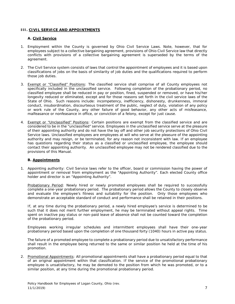#### **III. CIVIL SERVICE AND APPOINTMENTS**

#### **A. Civil Service**

- 1. Employment within the County is governed by Ohio Civil Service Laws. Note, however, that for employees subject to a collective bargaining agreement, provisions of Ohio Civil Service law that directly conflicts with provisions of a collective bargaining agreement is superseded by the terms of the agreement.
- 2. The Civil Service system consists of laws that control the appointment of employees and it is based upon classifications of jobs on the basis of similarity of job duties and the qualifications required to perform those job duties.
- 3. Exempt or "Classified" Positions: The classified service shall comprise of all County employees not specifically included in the unclassified service. Following completion of the probationary period, no classified employee shall be reduced in pay or position, fined, suspended or removed, or have his/her longevity reduced or eliminated, except and for those reasons set forth in the civil service laws of the State of Ohio. Such reasons include: incompetency, inefficiency, dishonesty, drunkenness, immoral conduct, insubordination, discourteous treatment of the public, neglect of duty, violation of any policy or work rule of the County, any other failure of good behavior, any other acts of misfeasance, malfeasance or nonfeasance in office, or conviction of a felony, except for just cause.
- 4. Exempt or "Unclassified" Positions: Certain positions are exempt from the classified service and are considered to be in the "unclassified" service. Employees in the unclassified service serve at the pleasure of their appointing authority and do not have the lay off and other job security protections of Ohio Civil Service laws. Unclassified employees are employees at will who serve at the pleasure of the appointing authority and may resign, or be terminated, for any reason not inconsistent with law. If an employee has questions regarding their status as a classified or unclassified employee, the employee should contact their appointing authority. An unclassified employee may not be rendered classified due to the provisions of this Manual.

#### **B. Appointments**

1. Appointing authority: Civil Service laws refer to the officer, board or commission having the power of appointment or removal from employment as the "Appointing Authority". Each elected County office holder and director is an "Appointing Authority".

Probationary Period: Newly hired or newly promoted employees shall be required to successfully complete a one-year probationary period. The probationary period allows the County to closely observe and evaluate the employee's fitness and suitability for the position. Only those employees who demonstrate an acceptable standard of conduct and performance shall be retained in their positions.

If, at any time during the probationary period, a newly hired employee's service is determined to be such that it does not merit further employment, he may be terminated without appeal rights. Time spent on inactive pay status or non-paid leave of absence shall not be counted toward the completion of the probationary period.

Employees working irregular schedules and intermittent employees shall have their one-year probationary period based upon the completion of one thousand forty (1040) hours in active pay status.

The failure of a promoted employee to complete a probationary period due to unsatisfactory performance shall result in the employee being returned to the same or similar position he held at the time of his promotion.

2. Promotional Appointments: All promotional appointments shall have a probationary period equal to that of an original appointment within that classification. If the service of the promotional probationary employee is unsatisfactory, he may be demoted to the position from which he was promoted, or to a similar position, at any time during the promotional probationary period.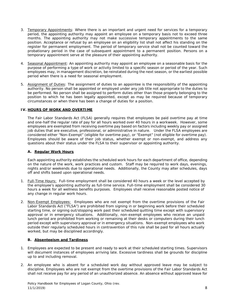- 3. Temporary Appointments: Where there is an important and urgent need for services for a temporary period, the appointing authority may appoint an employee on a temporary basis not to exceed three months. The appointing authority may not make successive temporary appointments to the same position. Acceptance or refusal by an employee on an eligibility list shall not affect his standing on the register for permanent employment. The period of temporary service shall not be counted toward the probationary period in the case of subsequent appointment to a permanent position. Persons on a temporary appointment serve at the pleasure of their appointing authority.
- 4. Seasonal Appointment: An appointing authority may appoint an employee on a seasonable basis for the purpose of performing a type of work or activity limited to a specific season or period of the year. Such employees may, in management discretion, be reinstated during the next season, or the earliest possible period when there is a need for seasonal employment.
- 5. Assignment of Duties: The assignment of duties to an appointee is the responsibility of the appointing authority. No person shall be appointed or employed under any job title not appropriate to the duties to be performed. No person shall be assigned to perform duties other than those properly belonging to the position to which he has been legally appointed, except as may be required because of temporary circumstances or when there has been a change of duties for a position.

#### **IV. HOURS OF WORK AND OVERTIME**

The Fair Labor Standards Act (FLSA) generally requires that employees be paid overtime pay at time and one-half the regular rate of pay for all hours worked over 40 hours in a workweek. However, some employees are exempted from receiving overtime pay based on factors including weekly pay or assigned job duties that are executive, professional, or administrative in nature. Under the FLSA employees are considered either "Non-Exempt" (eligible for overtime pay), or "Exempt" (not eligible for overtime pay). Employees should be aware of their job status, whether exempt or non-exempt, and address any questions about their status under the FLSA to their supervisor or appointing authority.

#### **A. Regular Work Hours**

Each appointing authority establishes the scheduled work hours for each department of office, depending on the nature of the work, work practices and custom. Staff may be required to work days, evenings, nights and/or weekends due to operational needs. Additionally, the County may alter schedules, days off and shifts based upon operational needs.

- 1. Full-Time Hours: Full-time employment shall be considered 40 hours a week or the level accepted by the employee's appointing authority as full-time service. Full-time employment shall be considered 30 hours a week for all wellness benefits purposes. Employees shall receive reasonable posted notice of any change in regular work hours.
- 2. Non-Exempt Employees: Employees who are not exempt from the overtime provisions of the Fair Labor Standards Act ("FLSA") are prohibited from signing in or beginning work before their scheduled starting time, or signing out/stopping work past their scheduled quitting time except with supervisory approval or in emergency situations. Additionally, non-exempt employees who receive an unpaid lunch period are prohibited from working or remaining at their desks or computers during their lunch period except with supervisory approval or in emergency situations. Non-exempt employees who work outside their regularly scheduled hours in contravention of this rule shall be paid for all hours actually worked, but may be disciplined accordingly.

#### **B. Absenteeism and Tardiness**

- 1. Employees are expected to be present and ready to work at their scheduled starting times. Supervisors will document instances of employees arriving late. Excessive tardiness shall be grounds for discipline up to and including removal.
- 2. An employee who is absent for a scheduled work day without approved leave may be subject to discipline. Employees who are not exempt from the overtime provisions of the Fair Labor Standards Act shall not receive pay for any period of an unauthorized absence. An absence without approved leave for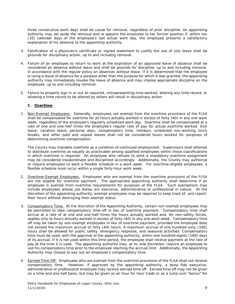three consecutive work days shall be cause for removal, regardless of prior discipline. An appointing authority may set aside the removal and re appoint the employee to her former position if, within ten (10) calendar days of the employee's last actual work day, the employee presents a satisfactory explanation of his absence to the appointing authority.

- 3. Falsification of a physician's certificate or signed statement to justify the use of sick leave shall be grounds for disciplinary action, up to and including removal.
- 4. Failure of an employee to return to work at the expiration of an approved leave of absence shall be considered an absence without leave and shall be grounds for discipline, up to and including removal, in accordance with the regular policy on absences without leave. If it is determined that the employee is using a leave of absence for a purpose other than the purpose for which it was granted, the appointing authority may immediately revoke the leave of absence and may impose appropriate discipline on the employee, up to and including removal.
- 5. Failure to properly sign in or out as required, misrepresenting time worked, altering any time record, or allowing a time record to be altered by others will result in disciplinary action.

#### **C. Overtime**

1. Non-Exempt Employees: Generally, employees not exempt from the overtime provisions of the FLSA shall be compensated for overtime for all hours actually worked in excess of forty (40) in any one work week, regardless of the employee's regularly scheduled work day. Overtime shall be compensated at a rate of one and one-half times the employee's regular rate of pay for actual overtime worked. Sick leave, vacation leave, personal days, compensatory time, holidays, scheduled non-working lunch breaks, and other paid and unpaid leaves shall not be considered hours worked for purposes of determining overtime compensation.

The County may mandate overtime as a condition of continued employment. Supervisors shall attempt to distribute overtime as equally as practicable among qualified employees within those classifications in which overtime is required. An employee who refuses to work a mandatory overtime assignment may be considered insubordinate and disciplined accordingly. Additionally, the County may authorize or require employees to work a flexible schedule in a work week. For overtime-eligible employees, a flexible schedule must occur within a single forty-hour work week.

- 2. Overtime-Exempt Employees: Employees who are exempt from the overtime provisions of the FLSA are not eligible for overtime payment. The appropriate appointing authority shall determine if an employee is exempt from overtime requirements for purposes of the FLSA. Such exemptions may include employees whose job duties are executive, administrative or professional in nature. At the discretion of the appointing authority, exempt employees may be required to keep track of, and report, their hours without destroying their exempt status.
- 3. Compensatory Time: At the discretion of the Appointing Authority, certain non-exempt employees may be permitted to take compensatory time-off in lieu of overtime payment. Compensatory time shall accrue at a rate of at one and one-half times the hours actually worked and, for non-safety forces, applies only to hours actually worked in excess of forty (40) in any one work week. Compensatory time off may be taken by non-exempt employees in lieu of overtime payment, provided the employee does not exceed the maximum accrual of forty (40) hours. A maximum accrual of one hundred sixty (160) hours shall be allowed for public safety, emergency response, and seasonal activities. Compensatory time must be used, with the approval of the appointing authority, within one hundred eighty (180) days of its accrual. If it is not used within this time period, the employee shall receive payment at the rate of pay at the time it is used. The appointing authority may, at its sole discretion, require an employee to use his compensatory time prior to the employee reaching the accrual limit. Additionally, the Appointing Authority may choose to pay out an employee's compensatory time.
- 4. Earned Time Off: Employees who are exempt from the overtime provisions of the FLSA shall not receive compensatory time. However, if approved by the appointing authority, a bona fide executive, administrative or professional employee may receive earned time off. Earned time off may not be given on a time and one half basis, but may be given as an hour for hour trade or as a lump sum "bonus" for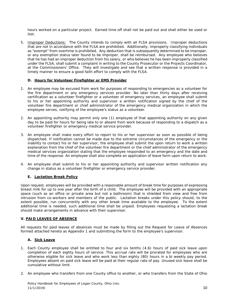hours worked on a particular project. Earned time off shall not be paid out and shall either be used or lost.

5. Improper Deductions: The County intends to comply with all FLSA provisions. Improper deductions that are not in accordance with the FLSA are prohibited. Additionally, improperly classifying individuals as "exempt" from overtime is prohibited. Any deduction that is subsequently determined to be improper, or any exemption status later found to be improper, shall be reimbursed. Any employee who believes that he has had an improper deduction from his salary, or who believes he has been improperly classified under the FLSA, shall submit a complaint in writing to the County Prosecutor or the Projects Coordinator, at the Commissioners' Office. They will investigate and see that a written response is provided in a timely manner to ensure a good faith effort to comply with the FLSA.

#### **D. Hours for Volunteer Firefighter or EMS Provider**

- 1. An employee may be excused from work for purposes of responding to emergencies as a volunteer for the fire department or any emergency services provider. No later than thirty days after receiving certification as a volunteer firefighter or a volunteer of emergency services, an employee shall submit to his or her appointing authority and supervisor a written notification signed by the chief of the volunteer fire department or chief administrator of the emergency medical organization in which the employee serves, notifying of the employee's status as a volunteer.
- 2. An appointing authority may permit only one (1) employee of that appointing authority on any given day to be paid for hours for being late to or absent from work because of responding to a dispatch as a volunteer firefighter or emergency medical service provider.
- 3. An employee shall make every effort to report to his or her supervisor as soon as possible of being dispatched. If notification cannot be made due to the extreme circumstances of the emergency or the inability to contact his or her supervisor, the employee shall submit the upon return to work a written explanation from the chief of the volunteer fire department or the chief administrator of the emergency medical services organization stating that the employee responded to an emergency and the date and time of the response. An employee shall also complete an application of leave form upon return to work.
- 4. An employee shall submit to his or her appointing authority and supervisor written notification any change in status as a volunteer firefighter or emergency service provider.

#### **E. Lactation Break Policy**

Upon request, employees will be provided with a reasonable amount of break time for purposes of expressing breast milk for up to one year after the birth of a child. The employee will be provided with an appropriate space (such as an office or private area but not a bathroom) that is shielded from view and free from intrusion from co-workers and members of the public. Lactation breaks under this policy should, to the extent possible, run concurrently with any other break time available to the employee. To the extent additional time is needed, such additional time shall be unpaid. Employees requesting a lactation break should make arrangements in advance with their supervisor.

#### **V. PAID LEAVES OF ABSENCE**

All requests for paid leaves of absences must be made by filling out the Request for Leave of Absences formed attached hereto as Appendix 1 and submitting the form to the employee's supervisor.

#### **A. Sick Leave**

- 1. Each County employee shall be entitled to four and six tenths (4.6) hours of paid sick leave upon completion of each eighty hours of service. This accrual rate will be prorated for employees who are otherwise eligible for sick leave and who work less than eighty (80) hours in a bi weekly pay period. Employees absent on paid sick leave will be paid at their regular rate of pay. Unused sick leave shall be cumulative without limit.
- 2. An employee who transfers from one County office to another, or who transfers from the State of Ohio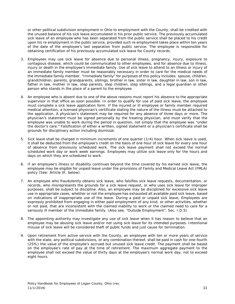or other political subdivision employment in Ohio to employment with the County, shall be credited with the unused balance of his sick leave accumulated in his prior public service. The previously accumulated sick leave of an employee who has been separated from the public service shall be placed to his credit upon his re employment in the public service, provided such re employment takes place within ten years of the date of the employee's last separation from public service. The employee is responsible for obtaining certification of his previously accumulated sick leave for County records.

- 3. Employees may use sick leave for absence due to personal illness, pregnancy, injury, exposure to contagious disease, which could be communicated to other employees, and for absence due to illness, injury or death in the employee's immediate family. Use of sick leave to attend to an illness or injury of an immediate family member must be reasonably necessary in order to care for the medical needs of the immediate family member. "Immediate family" for purposes of this policy includes: spouse, children, grandchildren, parents, grandparents, siblings, brother in law, sister in law, daughter in law, son in law, father in law, mother in law, step parents, step children, step siblings, and a legal guardian or other person who stands in the place of a parent to the employee.
- 4. An employee who is absent due to one of the above reasons must report his absence to the appropriate supervisor in that office as soon possible. In order to qualify for use of paid sick leave, the employee must complete a sick leave application form. If the injured or ill employee or family member required medical attention, a licensed physician's certificate stating the nature of the illness must be attached to the application. A physician's statement may be required for any absence of three days or more. The physician's statement must be signed personally by the treating physician, and must verify that the employee was unable to work during the period in question, not simply that the employee was "under the doctor's care." Falsification of either a written, signed statement or a physician's certificate shall be grounds for disciplinary action including dismissal.
- 5. Sick leave shall be charged in minimum increments of one quarter (1/4) hour. When sick leave is used, it shall be deducted from the employee's credit on the basis of one hour of sick leave for every one hour of absence from previously scheduled work. The sick leave payment shall not exceed the normal scheduled work day or work week earnings. Employees may utilize sick leave only for the hours and days on which they are scheduled to work.
- 6. If an employee's illness or disability continues beyond the time covered by his earned sick leave, the employee may be eligible for unpaid leave under the provisions of Family and Medical Leave Act (FMLA) policy (See: Article VI, below).
- 7. An employee who fraudulently obtains sick leave, who falsifies sick leave requests, documentation, or records, who misrepresents the grounds for a sick leave request, or who uses sick leave for improper purposes, shall be subject to discipline. Also, an employee may be disciplined for excessive sick leave use in appropriate cases, whether or not the employee has exhausted all available paid sick leave, based on indications of inappropriate use of the leave. During a paid or unpaid sick leave, Employees are expressly prohibited from engaging in either paid employment of any kind, or other activities, whether or not paid, that are inconsistent with the claimed inability to work or the claimed need to care for a seriously ill member of the immediate family. (Also see, "Outside Employment", Sec. I.D.5)
- 8. The appointing authority may investigate any use of sick leave when it has reason to believe that an employee may be abusing sick leave and/or not using sick leave for its intended purposes. Intentional misuse of sick leave will be considered theft of public funds and just cause for termination.
- 9. Upon retirement from active service with the County, an employee with ten or more years of service with the state, any political subdivisions, or any combination thereof, shall be paid in cash for one-fourth (25%) the value of the employee's accrued but unused sick leave credit. The payment shall be based on the employee's rate of pay at the time of retirement. The maximum aggregate payment to the employee shall not exceed the value of thirty days at the employee's normal work day, not to exceed eight hours.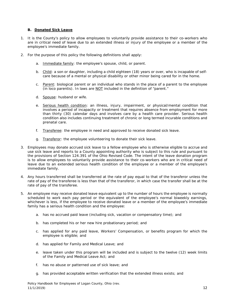#### **B. Donated Sick Leave**

- 1. It is the County's policy to allow employees to voluntarily provide assistance to their co-workers who are in critical need of leave due to an extended illness or injury of the employee or a member of the employee's immediate family.
- 2. For the purpose of this policy the following definitions shall apply:
	- a. Immediate family: the employee's spouse, child, or parent.
	- b. Child: a son or daughter, including a child eighteen (18) years or over, who is incapable of selfcare because of a mental or physical disability or other minor being cared for in the home.
	- c. Parent: biological parent or an individual who stands in the place of a parent to the employee (in loco parentis). In laws are NOT included in the definition of "parent."
	- d. Spouse: husband or wife.
	- e. Serious health condition: an illness, injury, impairment, or physical/mental condition that involves a period of incapacity or treatment that requires absence from employment for more than thirty (30) calendar days and involves care by a health care provider. Serious health condition also includes continuing treatment of chronic or long termed incurable conditions and prenatal care.
	- f. Transferee: the employee in need and approved to receive donated sick leave.
	- g. Transferor: the employee volunteering to donate their sick leave.
- 3. Employees may donate accrued sick leave to a fellow employee who is otherwise eligible to accrue and use sick leave and reports to a County appointing authority who is subject to this rule and pursuant to the provisions of Section 124.391 of the Ohio Revised Code. The intent of the leave donation program is to allow employees to voluntarily provide assistance to their co-workers who are in critical need of leave due to an extended serious health condition of the employee or a member of the employee's immediate family.
- 4. Any hours transferred shall be transferred at the rate of pay equal to that of the transferor unless the rate of pay of the transferee is less than that of the transferor, in which case the transfer shall be at the rate of pay of the transferee.
- 5. An employee may receive donated leave equivalent up to the number of hours the employee is normally scheduled to work each pay period or the equivalent of the employee's normal biweekly earnings, whichever is less, if the employee to receive donated leave or a member of the employee's immediate family has a serious health condition and the employee:
	- a. has no accrued paid leave (including sick, vacation or compensatory time); and
	- b. has completed his or her new hire probationary period; and
	- c. has applied for any paid leave, Workers' Compensation, or benefits program for which the employee is eligible; and
	- d. has applied for Family and Medical Leave; and
	- e. leave taken under this program will be included and is subject to the twelve (12) week limits of the Family and Medical Leave Act; and
	- f. has no abuse or patterned use of sick leave; and
	- g. has provided acceptable written verification that the extended illness exists; and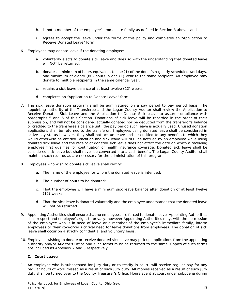- h. is not a member of the employee's immediate family as defined in Section B above; and
- i. agrees to accept the leave under the terms of this policy and completes an "Application to Receive Donated Leave" form.
- 6. Employees may donate leave if the donating employee:
	- a. voluntarily elects to donate sick leave and does so with the understanding that donated leave will NOT be returned;
	- b. donates a minimum of hours equivalent to one (1) of the donor's regularly scheduled workdays, and maximum of eighty (80) hours in one (1) year to the same recipient. An employee may donate to multiple recipients in the same calendar year.
	- c. retains a sick leave balance of at least twelve (12) weeks.
	- d. completes an "Application to Donate Leave" form.
- 7. The sick leave donation program shall be administered on a pay period to pay period basis. The appointing authority of the Transferee and the Logan County Auditor shall review the Application to Receive Donated Sick Leave and the Application to Donate Sick Leave to assure compliance with paragraphs 5 and 6 of this Section. Donations of sick leave will be recorded in the order of their submission, and will not be considered actually donated nor be deducted from the transferor's balance or credited to the transferee's balance until the pay period such leave is actually used. Unused donation applications shall be returned to the transferor. Employees using donated leave shall be considered in active pay status however, they shall not accrue leave and be entitled to any benefits to which they would otherwise be entitled. Vacation and sick leave will NOT be accrued by an employee while using donated sick leave and the receipt of donated sick leave does not affect the date on which a receiving employee first qualifies for continuation of health insurance coverage. Donated sick leave shall be considered sick leave but shall never be converted into a cash benefit. The Logan County Auditor shall maintain such records as are necessary for the administration of this program.
- 8. Employees who wish to donate sick leave shall certify:
	- a. The name of the employee for whom the donated leave is intended;
	- b. The number of hours to be donated:
	- c. That the employee will have a minimum sick leave balance after donation of at least twelve (12) weeks.
	- d. That the sick leave is donated voluntarily and the employee understands that the donated leave will not be returned.
- 9. Appointing Authorities shall ensure that no employees are forced to donate leave. Appointing Authorities shall respect and employee's right to privacy, however Appointing Authorities may, with the permission of the employee who is in need of leave or a member of the employee's immediate family, inform employees or their co-worker's critical need for leave donations from employees. The donation of sick leave shall occur on a strictly confidential and voluntary basis.
- 10. Employees wishing to donate or receive donated sick leave may pick up applications from the appointing authority and/or Auditor's Office and such forms must be returned to the same. Copies of such forms are included as Appendix 2 and 3 respectively.

#### **C. Court Leave**

1. An employee who is subpoenaed for jury duty or to testify in court, will receive regular pay for any regular hours of work missed as a result of such jury duty. All monies received as a result of such jury duty shall be turned over to the County Treasurer's Office. Hours spent at court under subpoena during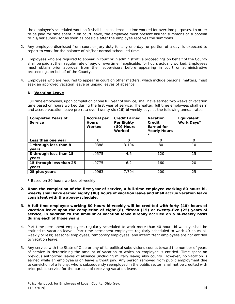the employee's scheduled work shift shall be considered as time worked for overtime purposes. In order to be paid for time spent in on court leave, the employee must present his/her summons or subpoena to his/her supervisor as soon as possible after the employee receives the summons.

- 2. Any employee dismissed from court or jury duty for any one day, or portion of a day, is expected to report to work for the balance of his/her normal scheduled time.
- 3. Employees who are required to appear in court or in administrative proceedings on behalf of the County shall be paid at their regular rate of pay, or overtime if applicable, for hours actually worked. Employees must obtain prior approval from their supervisors before appearing in court or administrative proceedings on behalf of the County.
- 4. Employees who are required to appear in court on other matters, which include personal matters, must seek an approved vacation leave or unpaid leaves of absence.

#### **D. Vacation Leave**

1. Full time employees, upon completion of one full year of service, shall have earned two weeks of vacation time based on hours worked during the first year of service. Thereafter, full time employees shall earn and accrue vacation leave pro rata over twenty six (26) bi weekly pays at the following annual rates:

| <b>Completed Years of</b><br><b>Service</b> | <b>Accrual per</b><br><b>Hours</b><br>Worked | <b>Credit Earned</b><br>Per Eighty<br>(80) Hours<br>Worked | Vacation<br>Credit<br><b>Earned</b> for<br><b>Yearly Hours</b><br>$\star$ | Equivalent<br>Work Days* |
|---------------------------------------------|----------------------------------------------|------------------------------------------------------------|---------------------------------------------------------------------------|--------------------------|
| Less than one year                          | $\Omega$                                     | O                                                          | O                                                                         | $\Omega$                 |
| 1 through less than 8                       | .0388                                        | 3.104                                                      | 80                                                                        | 10                       |
| years                                       |                                              |                                                            |                                                                           |                          |
| 8 through less than 15                      | .0575                                        | 4.6                                                        | 120                                                                       | 15                       |
| years                                       |                                              |                                                            |                                                                           |                          |
| 15 through less than 25                     | .0775                                        | 6.2                                                        | 160                                                                       | 20                       |
| years                                       |                                              |                                                            |                                                                           |                          |
| 25 plus years                               | .0963                                        | 7.704                                                      | 200                                                                       | 25                       |

\* Based on 80 hours worked bi-weekly

- **2. Upon the completion of the first year of service, a full-time employee working 80 hours biweekly shall have earned eighty (80) hours of vacation leave and shall accrue vacation leave consistent with the above-schedule.**
- **3. A full-time employee working 80 hours bi-weekly will be credited with forty (40) hours of vacation leave upon the completion of eight (8), fifteen (15) or twenty-five (25) years of service, in addition to the amount of vacation leave already accrued on a bi-weekly basis during each of those years.**
- 4. Part-time permanent employees regularly scheduled to work more than 40 hours bi-weekly, shall be entitled to vacation leave. Part-time permanent employees regularly scheduled to work 40 hours biweekly or less; seasonal employees, temporary employees, and intermittent employees are not entitled to vacation leave.
- 5. Any service with the State of Ohio or any of its political subdivisions counts toward the number of years of service in determining the amount of vacation to which an employee is entitled. Time spent on previous authorized leaves of absence (including military leave) also counts. However, no vacation is earned while an employee is on leave without pay. Any person removed from public employment due to conviction of a felony, who is subsequently reemployed in the public sector, shall not be credited with prior public service for the purpose of receiving vacation leave.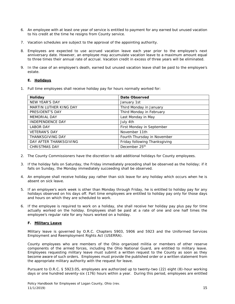- 6. An employee with at least one year of service is entitled to payment for any earned but unused vacation to his credit at the time he resigns from County service.
- 7. Vacation schedules are subject to the approval of the appointing authority.
- 8. Employees are expected to use accrued vacation leave each year prior to the employee's next anniversary date. However, an employee may accumulate vacation leave to a maximum amount equal to three times their annual rate of accrual. Vacation credit in excess of three years will be eliminated.
- 9. In the case of an employee's death, earned but unused vacation leave shall be paid to the employee's estate.

#### **E. Holidays**

1. Full time employees shall receive holiday pay for hours normally worked for:

| Holiday                 | Date Observed                 |
|-------------------------|-------------------------------|
| NEW YEAR'S DAY          | January 1st                   |
| MARTIN LUTHER KING DAY  | Third Monday in January       |
| PRESIDENT'S DAY         | Third Monday in February      |
| <b>MEMORIAL DAY</b>     | Last Monday in May            |
| <b>INDEPENDENCE DAY</b> | July 4th                      |
| <b>LABOR DAY</b>        | First Monday in September     |
| <b>VETERAN'S DAY</b>    | November 11th                 |
| <b>THANKSGIVING DAY</b> | Fourth Thursday in November   |
| DAY AFTER THANKSGIVING  | Friday following Thanksgiving |
| <b>CHRISTMAS DAY</b>    | December 25th                 |

- 2. The County Commissioners have the discretion to add additional holidays for County employees.
- 3. If the holiday falls on Saturday, the Friday immediately preceding shall be observed as the holiday; if it falls on Sunday, the Monday immediately succeeding shall be observed.
- 4. An employee shall receive holiday pay rather than sick leave for any holiday which occurs when he is absent on sick leave.
- 5. If an employee's work week is other than Monday through Friday, he is entitled to holiday pay for any holidays observed on his days off. Part time employees are entitled to holiday pay only for those days and hours on which they are scheduled to work.
- 6. If the employee is required to work on a holiday, she shall receive her holiday pay plus pay for time actually worked on the holiday. Employees shall be paid at a rate of one and one half times the employee's regular rate for any hours worked on a holiday.

#### **F. Military Leave**

Military leave is governed by O.R.C. Chapters 5903, 5906 and 5923 and the Uniformed Services Employment and Reemployment Rights Act (USERRA).

County employees who are members of the Ohio organized militia or members of other reserve components of the armed forces, including the Ohio National Guard, are entitled to military leave. Employees requesting military leave must submit a written request to the County as soon as they become aware of such orders. Employees must provide the published order or a written statement from the appropriate military authority with the request for leave.

Pursuant to O.R.C. § 5923.05, employees are authorized up to twenty-two (22) eight (8)-hour working days or one hundred seventy-six (176) hours within a year. During this period, employees are entitled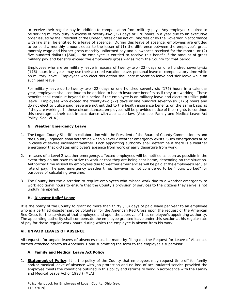to receive their regular pay in addition to compensation from military pay. Any employee required to be serving military duty in excess of twenty-two (22) days or 176 hours in a year due to an executive order issued by the President of the United States or an act of Congress or by the Governor in accordance with law shall be entitled to a leave of absence. During this leave of absence, employees are entitled to be paid a monthly amount equal to the lesser of (1) the difference between the employee's gross monthly wage and his/her gross monthly uniformed pay and allowances received for the month, or (2) five hundred dollars (\$500). No employee is entitled to receive this benefit if the amount of gross military pay and benefits exceed the employee's gross wages from the County for that period.

Employees who are on military leave in excess of twenty-two (22) days or one hundred seventy-six (176) hours in a year, may use their accrued vacation leave, personal leave or compensatory time while on military leave. Employees who elect this option shall accrue vacation leave and sick leave while on such paid leave.

For military leave up to twenty-two (22) days or one hundred seventy-six (176) hours in a calendar year, employees shall continue to be entitled to health insurance benefits as if they are working. These benefits shall continue beyond this period if the employee is on military leave and elects to utilize paid leave. Employees who exceed the twenty-two (22) days or one hundred seventy-six (176) hours and do not elect to utilize paid leave are not entitled to the health insurance benefits on the same basis as if they are working. In these circumstances, employees will be provided notice of their rights to continue this coverage at their cost in accordance with applicable law. (Also see, Family and Medical Leave Act Policy, Sec. VI.A.).

#### **G. Weather Emergency Leave**

- 1. The Logan County Sheriff, in collaboration with the President of the Board of County Commissioners and the County Engineer, shall determine when a Level 2 weather emergency exists. Such emergencies arise in cases of severe inclement weather. Each appointing authority shall determine if there is a weather emergency that dictates employee's absence from work or early departure from work.
- 2. In cases of a Level 2 weather emergency, affected employees will be notified as soon as possible in the event they do not have to arrive to work or that they are being sent home, depending on the situation. Authorized time missed by employees due to weather emergencies will be paid at the employee's regular rate of pay. The paid emergency weather time, however, is not considered to be "hours worked" for purposes of calculating overtime.
- 3. The County has the discretion to require employees who missed work due to a weather emergency to work additional hours to ensure that the County's provision of services to the citizens they serve is not unduly hampered.

#### **H. Disaster Relief Leave**

It is the policy of the County to grant no more than thirty (30) days of paid leave per year to an employee who is a certified disaster service volunteer for the American Red Cross upon the request of the American Red Cross for the services of that employee and upon the approval of that employee's appointing authority. The appointing authority shall compensate the employee granted leave under this section at his regular rate of pay for those regular work hours during which the employee is absent from his work.

#### **VI. UNPAID LEAVES OF ABSENCE**

All requests for unpaid leaves of absences must be made by filling out the Request for Leave of Absences formed attached hereto as Appendix 1 and submitting the form to the employee's supervisor.

#### **A. Family and Medical Leave Act Policy**

1. **Statement of Policy**: It is the policy of the County that employees may request time off for family and/or medical leave of absence with job protection and no loss of accumulated service provided the employee meets the conditions outlined in this policy and returns to work in accordance with the Family and Medical Leave Act of 1993 (FMLA).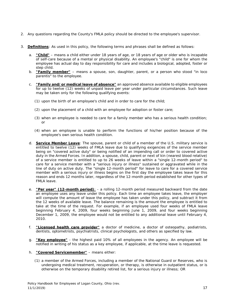- 2. Any questions regarding the County's FMLA policy should be directed to the employee's supervisor.
- 3. **Definitions**: As used in this policy, the following terms and phrases shall be defined as follows:
	- a. **"Child"** means a child either under 18 years of age, or 18 years of age or older who is incapable of self-care because of a mental or physical disability. An employee's "child" is one for whom the employee has actual day to day responsibility for care and includes a biological, adopted, foster or step child.
	- b. **"Family member"** means a spouse, son, daughter, parent, or a person who stood "in loco parentis" to the employee.
	- c. **"Family and/or medical leave of absence"** an approved absence available to eligible employees for up to twelve (12) weeks of unpaid leave per year under particular circumstances. Such leave may be taken only for the following qualifying events:
		- (1) upon the birth of an employee's child and in order to care for the child;
		- (2) upon the placement of a child with an employee for adoption or foster care;
		- (3) when an employee is needed to care for a family member who has a serious health condition; or
		- (4) when an employee is unable to perform the functions of his/her position because of the employee's own serious health condition.
	- d. **Service Member Leave**: The spouse, parent or child of a member of the U.S. military service is entitled to twelve (12) weeks of FMLA leave due to qualifying exigencies of the service member being on "covered active duty" or being notified of an impending call or order to covered active duty in the Armed Forces. In addition, a spouse, child, parent or next of kin (nearest blood relative) of a service member is entitled to up to 26 weeks of leave within a "single 12-month period" to care for a service member with a "serious injury or illness" sustained or aggravated while in the line of duty on active duty. The "single 12-month period" for leave to care for a covered service member with a serious injury or illness begins on the first day the employee takes leave for this reason and ends 12 months later, regardless of the 12-month period established for other types of FMLA leave.
	- e. **"Per year" (12-month period)**: a rolling 12-month period measured backward from the date an employee uses any leave under this policy. Each time an employee takes leave, the employer will compute the amount of leave the employee has taken under this policy, and subtract it from the 12 weeks of available leave. The balance remaining is the amount the employee is entitled to take at the time of the request. For example, if an employee used four weeks of FMLA leave beginning February 4, 2009, four weeks beginning June 1, 2009, and four weeks beginning December 1, 2009, the employee would not be entitled to any additional leave until February 4, 2010.
	- f. **"Licensed health care provider"** a doctor of medicine, a doctor of osteopathy, podiatrists, dentists, optometrists, psychiatrists, clinical psychologists, and others as specified by law.
	- g. **"Key employee"** the highest paid 10% of all employees in the agency. An employee will be notified in writing of his status as a key employee, if applicable, at the time leave is requested.
	- h. **"Covered Servicemember"** means either:
		- (1) a member of the Armed Forces, including a member of the National Guard or Reserves, who is undergoing medical treatment, recuperation, or therapy, is otherwise in outpatient status, or is otherwise on the temporary disability retired list, for a serious injury or illness; OR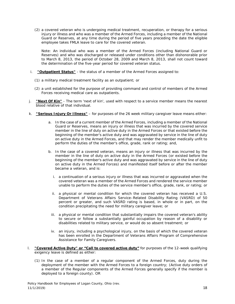(2) a covered veteran who is undergoing medical treatment, recuperation, or therapy for a serious injury or illness and who was a member of the Armed Forces, including a member of the National Guard or Reserves, at any time during the period of five years preceding the date the eligible employee takes FMLA leave to care for the covered veteran.

Note: An individual who was a member of the Armed Forces (including National Guard or Reserves) and who was discharged or released under conditions other than dishonorable prior to March 8, 2013, the period of October 28, 2009 and March 8, 2013, shall not count toward the determination of the five-year period for covered veteran status.

- i. **"Outpatient Status"** the status of a member of the Armed Forces assigned to:
	- (1) a military medical treatment facility as an outpatient; or
	- (2) a unit established for the purpose of providing command and control of members of the Armed Forces receiving medical care as outpatients.
- j. **"Next Of Kin"** The term 'next of kin', used with respect to a service member means the nearest blood relative of that individual.
- k. **"Serious Injury Or Illness"** for purposes of the 26 week military caregiver leave means either:
	- a. In the case of a current member of the Armed Forces, including a member of the National Guard or Reserves, means an injury or illness that was incurred by the covered service member in the line of duty on active duty in the Armed Forces or that existed before the beginning of the member's active duty and was aggravated by service in the line of duty on active duty in the Armed Forces, and that may render the member medically unfit to perform the duties of the member's office, grade, rank or rating; and,
	- b. In the case of a covered veteran, means an injury or illness that was incurred by the member in the line of duty on active duty in the Armed Forces (or existed before the beginning of the member's active duty and was aggravated by service in the line of duty on active duty in the Armed Forces) and manifested itself before or after the member became a veteran, and is:
		- i. a continuation of a serious injury or illness that was incurred or aggravated when the covered veteran was a member of the Armed Forces and rendered the service member unable to perform the duties of the service member's office, grade, rank, or rating; or
		- ii. a physical or mental condition for which the covered veteran has received a U.S. Department of Veterans Affairs Service–Related Disability Rating (VASRD) of 50 percent or greater, and such VASRD rating is based, in whole or in part, on the condition precipitating the need for military caregiver leave; or
		- iii. a physical or mental condition that substantially impairs the covered veteran's ability to secure or follow a substantially gainful occupation by reason of a disability or disabilities related to military service, or would do so absent treatment; or
		- iv. an injury, including a psychological injury, on the basis of which the covered veteran has been enrolled in the Department of Veterans Affairs Program of Comprehensive Assistance for Family Caregivers.
- l. **"Covered Active Duty" or "Call to covered active duty"** for purposes of the 12-week qualifying exigency leave is defined as either:
	- (1) In the case of a member of a regular component of the Armed Forces, duty during the deployment of the member with the Armed Forces to a foreign country; (Active duty orders of a member of the Regular components of the Armed Forces generally specify if the member is deployed to a foreign county). OR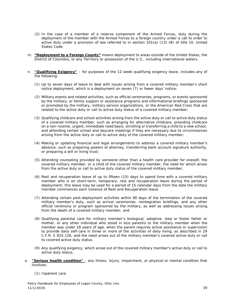- (2) In the case of a member of a reserve component of the Armed Forces, duty during the deployment of the member with the Armed Forces to a foreign country under a call to order to active duty under a provision of law referred to in section 101(a) (13) (B) of title 10, United States Code.
- m. **"Deployment to a Foreign County"** means deployment to areas outside of the United States, the District of Columbia, or any Territory or possession of the U.S., including international waters.
- n. **"Qualifying Exigency"** for purposes of the 12-week qualifying exigency leave, includes any of the following:
	- (1) Up to seven days of leave to deal with issues arising from a covered military member's short notice deployment, which is a deployment on seven (7) or fewer days' notice;
	- (2) Military events and related activities, such as official ceremonies, programs, or events sponsored by the military, or family support or assistance programs and informational briefings sponsored or promoted by the military, military service organizations, or the American Red Cross that are related to the active duty or call to active duty status of a covered military member;
	- (3) Qualifying childcare and school activities arising from the active duty or call to active duty status of a covered military member, such as arranging for alternative childcare, providing childcare on a non-routine, urgent, immediate need basis; enrolling or transferring a child to a new school; and attending certain school and daycare meetings if they are necessary due to circumstances arising from the active duty or call to active duty of the covered military member;
	- (4) Making or updating financial and legal arrangements to address a covered military member's absence, such as preparing powers of attorney, transferring bank account signature authority, or preparing a will or living trust;
	- (5) Attending counseling provided by someone other than a health care provider for oneself, the covered military member, or a child of the covered military member, the need for which arises from the active duty or call to active duty status of the covered military member;
	- (6) Rest and recuperation leave of up to fifteen (15) days to spend time with a covered military member who is on short-term, temporary, rest and recuperation leave during the period of deployment; this leave may be used for a period of 15 calendar days from the date the military member commences each instance of Rest and Recuperation leave.
	- (7) Attending certain post-deployment activities within 90 days of the termination of the covered military member's duty, such as arrival ceremonies, reintegration briefings, and any other official ceremony or program sponsored by the military, as well as addressing issues arising from the death of a covered military member; and
	- (8) Qualifying parental care for military member's biological, adoptive, step or foster father or mother, or any other individual who stood in loco parentis to the military member when the member was under 18 years of age, when the parent requires active assistance or supervision to provide daily self-care in three or more of the activities of daily living, as described in 29 C.F.R. § 825.126, and the need arises out of the military member's covered active duty or call to covered active duty status.
	- (9) Any qualifying exigency, which arose out of the covered military member's active duty or call to active duty status.
- o. **"Serious health condition"**  any illness, injury, impairment, or physical or mental condition that involves:
	- (1) Inpatient care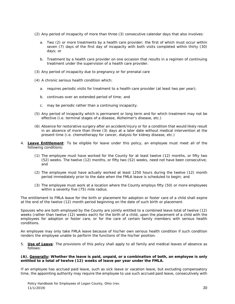- (2) Any period of incapacity of more than three (3) consecutive calendar days that also involves:
	- a. Two (2) or more treatments by a health care provider; the first of which must occur within seven (7) days of the first day of incapacity with both visits completed within thirty (30) days; or
	- b. Treatment by a health care provider on one occasion that results in a regimen of continuing treatment under the supervision of a health care provider.
- (3) Any period of incapacity due to pregnancy or for prenatal care
- (4) A chronic serious health condition which:
	- a. requires periodic visits for treatment to a health care provider (at least two per year);
	- b. continues over an extended period of time; and
	- c. may be periodic rather than a continuing incapacity.
- (5) Any period of incapacity which is permanent or long term and for which treatment may not be effective (i.e. terminal stages of a disease, Alzheimer's disease, etc.)
- (6) Absence for restorative surgery after an accident/injury or for a condition that would likely result in an absence of more than three (3) days at a later date without medical intervention at the present time (i.e. chemotherapy for cancer, dialysis for kidney disease, etc.)
- 4. **Leave Entitlement**: To be eligible for leave under this policy, an employee must meet all of the following conditions:
	- (1) The employee must have worked for the County for at least twelve (12) months, or fifty two (52) weeks. The twelve (12) months, or fifty two (52) weeks, need not have been consecutive; and
	- (2) The employee must have actually worked at least 1250 hours during the twelve (12) month period immediately prior to the date when the FMLA leave is scheduled to begin; and
	- (3) The employee must work at a location where the County employs fifty (50) or more employees within a seventy five (75) mile radius.

The entitlement to FMLA leave for the birth or placement for adoption or foster care of a child shall expire at the end of the twelve (12) month period beginning on the date of such birth or placement.

Spouses who are both employed by the County are jointly entitled to a combined leave total of twelve (12) weeks (rather than twelve (12) weeks each) for the birth of a child, upon the placement of a child with the employees for adoption or foster care, or for the care of certain family members with serious health conditions.

An employee may only take FMLA leave because of his/her own serious health condition if such condition renders the employee unable to perform the functions of the his/her position.

5. **Use of Leave**: The provisions of this policy shall apply to all family and medical leaves of absence as follows:

#### **(A). Generally: Whether the leave is paid, unpaid, or a combination of both, an employee is only entitled to a total of twelve (12) weeks of leave per year under the FMLA.**

If an employee has accrued paid leave, such as sick leave or vacation leave, but excluding compensatory time, the appointing authority may require the employee to use such accrued paid leave, consecutively with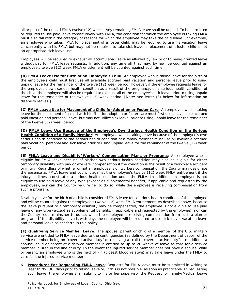all or part of the unpaid FMLA twelve (12) weeks. Any remaining FMLA leave shall be unpaid. To be permitted or required to use paid leave consecutively with FMLA, the condition for which the employee is taking FMLA must also fall within the category of reasons for which the employee may take the paid leave. For example, an employee who takes FMLA for placement of a foster child, may be required to use his vacation leave concurrently with his FMLA but may not be required to take sick leave as placement of a foster child is not an appropriate sick leave use.

Employees will be required to exhaust all accumulated leave as allowed by law prior to being granted leave without pay for FMLA leave requests. In addition, any time off that may, by law, be counted against an employee's twelve (12) week FMLA entitlement will be counted against such time.

**(B) FMLA Leave Use for Birth of an Employee's Child**: An employee who is taking leave for the birth of the employee's child must first use all available accrued paid vacation and personal leave prior to using unpaid leave for the remainder of the twelve (12) week period. However, if the employee requests leave for the employee's own serious health condition as a result of the pregnancy, or a serious health condition of the child, the employee will also be required to exhaust all of the employee's sick leave prior to using unpaid leave for the remainder of the twelve (12) week period. [Note: see letter (E) below for information on disability leaves.]

**(C) FMLA Leave Use for Placement of a Child for Adoption or Foster Care**: An employee who is taking leave for the placement of a child with him/her for adoption or foster care must first use all available accrued paid vacation and personal leave, but may not utilize sick leave, prior to using unpaid leave for the remainder of the twelve (12) week period.

**(D) FMLA Leave Use Because of the Employee's Own Serious Health Condition or the Serious Health Condition of a Family Member**: An employee who is taking leave because of the employee's own serious health condition or the serious health condition of a family member must use all available accrued paid vacation, personal and sick leave prior to using unpaid leave for the remainder of the twelve (12) week period.

**(E) FMLA Leave and Disability/Workers' Compensation Plans or Programs**: An employee who is eligible for FMLA leave because of his/her own serious health condition may also be eligible for either temporary disability with pay or workers' compensation if the condition is the result of a workplace accident or injury. Regardless of whether or not an employee is on workers compensation, the County may designate the absence as FMLA leave and count it against the employee's twelve (12) week FMLA entitlement if the injury or illness constitutes a serious health condition under the FMLA. In addition, an employee is not eligible to use paid leave of any type (except as supplemental benefits, if applicable and requested by the employee), nor can the County require her to do so, while the employee is receiving compensation from such a program.

Disability leave for the birth of a child is considered FMLA leave for a serious health condition of the employee and will be counted against the employee's twelve (12) week FMLA entitlement. As described above, because the leave pursuant to a temporary disability may be compensated, the employee is not eligible to use paid leave of any type (except as supplemental benefits, if applicable and requested by the employee), nor can the County require him/her to do so, while the employee is receiving compensation from such a plan or program. If the disability leave is with pay, the employee will be required to use sick leave, vacation leave and personal leave as set forth in this policy.

**(F) Qualifying Service Member Leave**: The spouse, parent or child of a member of the U.S. military service are entitled to FMLA leave due to the contingencies (as defined by the Department of Labor) of the service member being on "covered active duty" or receiving a "call to covered active duty". In addition, a spouse, child or parent of a service member is entitled to up to 26 weeks of leave to care for a service member injured in the line of duty. In the event the injured service member does not have a spouse, child or parent, an employee who is the next of kin (closest blood relative) may take leave under the FMLA to care for the injured service member.

6. **Procedures For Requesting FMLA Leave**: Requests for FMLA leave must be submitted in writing at least thirty (30) days prior to taking leave or, if this is not possible, as soon as practicable. In requesting such leave, the employee shall submit to his or her supervisor the Request for Family/Medical Leave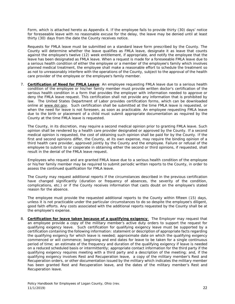Form, which is attached hereto as Appendix 4. If the employee fails to provide thirty (30) days' notice for foreseeable leave with no reasonable excuse for the delay, the leave may be denied until at least thirty (30) days from the date the County receives notice.

Requests for FMLA leave must be submitted on a standard leave form prescribed by the County. The County will determine whether the leave qualifies as FMLA leave, designate it as leave that counts against the employee's twelve (12) week entitlement, if appropriate, and notify the employee that the leave has been designated as FMLA leave. When a request is made for a foreseeable FMLA leave due to a serious health condition of either the employee or a member of the employee's family which involves planned medical treatment, the employee shall make a reasonable effort to schedule the treatment so as not to unreasonably interfere with the operations of the County, subject to the approval of the health care provider of the employee or the employee's family member.

7. **Certification of Need for FMLA Leave**: An employee requesting FMLA leave due to a serious health condition of the employee or his/her family member must provide written doctor's certification of the serious health condition in a form that provides the employer with information needed to approve or deny the FMLA leave request. This certification shall not provide any information that is prohibited by law. The United States Department of Labor provides certification forms, which can be downloaded online at www.dol.gov. Such certification shall be submitted at the time FMLA leave is requested, or when the need for leave is not foreseen, as soon as practicable. An employee requesting FMLA leave due to the birth or placement of a child must submit appropriate documentation as required by the County at the time FMLA leave is requested.

The County, in its discretion, may require a second medical opinion prior to granting FMLA leave. Such opinion shall be rendered by a health care provider designated or approved by the County. If a second medical opinion is requested, the cost of obtaining such opinion shall be paid for by the County. If the first and second opinions differ, the County, at its own expense, may require the binding opinion of a third health care provider, approved jointly by the County and the employee. Failure or refusal of the employee to submit to or cooperate in obtaining either the second or third opinions, if requested, shall result in the denial of the FMLA leave request.

Employees who request and are granted FMLA leave due to a serious health condition of the employee or his/her family member may be required to submit periodic written reports to the County, in order to assess the continued qualification for FMLA leave.

The County may request additional reports if the circumstances described in the previous certification have changed significantly (duration or frequency of absences, the severity of the condition, complications, etc.) or if the County receives information that casts doubt on the employee's stated reason for the absence.

The employee must provide the requested additional reports to the County within fifteen (15) days, unless it is not practicable under the particular circumstances to do so despite the employee's diligent, good faith efforts. Any costs associated with the additional reports requested by the County shall be at the employee's expense.

8. **Certification for leave taken because of a qualifying exigency**: The Employer may request that an employee provide a copy of the military member's active duty orders to support the request for qualifying exigency leave. Such certification for qualifying exigency leave must be supported by a certification containing the following information: statement or description of appropriate facts regarding the qualifying exigency for which leave is needed; approximate date on which the qualifying exigency commenced or will commence; beginning and end dates for leave to be taken for a single continuous period of time; an estimate of the frequency and duration of the qualifying exigency if leave is needed on a reduced scheduled basis or intermittently; appropriate contact information for the third party if the qualifying exigency requires meeting with a third party and a description of the meeting; and, if the qualifying exigency involves Rest and Recuperation leave, a copy of the military member's Rest and Recuperation orders, or other documentation issued by the military which indicates the military member has been granted Rest and Recuperation leave, and the dates of the military member's Rest and Recuperation leave.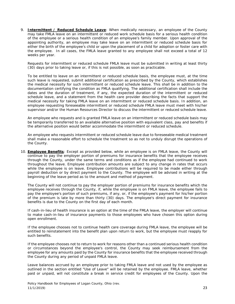9. **Intermittent / Reduced Schedule Leave**: When medically necessary, an employee of the County may take FMLA leave on an intermittent or reduced work schedule basis for a serious health condition of the employee or a serious health condition of an employee's family member. Upon approval of the appointing authority, an employee may take leave on an intermittent or reduced schedule basis for either the birth of the employee's child or upon the placement of a child for adoption or foster care with the employee. In all cases, the FMLA leave granted to any employee shall not exceed a total of 12 weeks per year.

Requests for intermittent or reduced schedule FMLA leave must be submitted in writing at least thirty (30) days prior to taking leave or, if this is not possible, as soon as practicable.

To be entitled to leave on an intermittent or reduced schedule basis, the employee must, at the time such leave is requested, submit additional certification as prescribed by the County, which establishes the medical necessity for such intermittent or reduced schedule leave. This shall be in addition to the documentation certifying the condition as FMLA qualifying. The additional certification shall include the dates and the duration of treatment, if any, the expected duration of the intermittent or reduced schedule leave, and a statement from the health care provider describing the facts that support the medical necessity for taking FMLA leave on an intermittent or reduced schedule basis. In addition, an employee requesting foreseeable intermittent or reduced schedule FMLA leave must meet with his/her supervisor and/or the Human Resources Director to discuss the intermittent or reduced schedule leave.

An employee who requests and is granted FMLA leave on an intermittent or reduced schedule basis may be temporarily transferred to an available alternative position with equivalent class, pay and benefits if the alternative position would better accommodate the intermittent or reduced schedule.

An employee who requests intermittent or reduced schedule leave due to foreseeable medical treatment shall make a reasonable effort to schedule the treatment so as not to unduly disrupt the operations of the County.

10. **Employee Benefits**: Except as provided below, while an employee is on FMLA leave, the County will continue to pay the employer portion of premiums for insurance benefits that the employee receives through the County, under the same terms and conditions as if the employee had continued to work throughout the leave. Employee contribution amounts are subject to any change in rates that occurs while the employee is on leave. Employee contributions will be required to be made either through payroll deduction or by direct payment to the County. The employee will be advised in writing at the beginning of the leave period as to the amount and method of payment.

The County will not continue to pay the employer portion of premiums for insurance benefits which the employee receives through the County, if, while the employee is on FMLA leave, the employee fails to pay the employee's portion of such premiums, if any, or, if the employee's payment for his/her portion of the premium is late by more than thirty (30) days. The employee's direct payment for insurance benefits is due to the County on the first day of each month.

If cash-in-lieu of health insurance is an option at the time of the FMLA leave, the employer will continue to make cash-in-lieu of insurance payments to those employees who have chosen this option during open enrollment.

If the employee chooses not to continue health care coverage during FMLA leave, the employee will be entitled to reinstatement into the benefit plan upon return to work, but the employee must reapply for such benefits.

If the employee chooses not to return to work for reasons other than a continued serious health condition or circumstances beyond the employee's control, the County may seek reimbursement from the employee for any amounts paid by the County for insurance benefits that the employee received through the County during any period of unpaid FMLA leave.

Leave balances accrued by an employee prior to taking FMLA leave and not used by the employee as outlined in the section entitled "Use of Leave" will be retained by the employee. FMLA leave, whether paid or unpaid, will not constitute a break in service credit for employees of the County. Upon the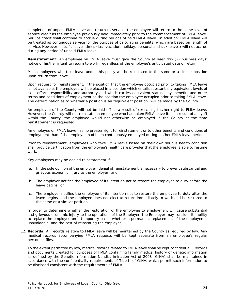completion of unpaid FMLA leave and return to service, the employee will return to the same level of service credit as the employee previously held immediately prior to the commencement of FMLA leave. Service credit shall continue to accrue during periods of paid FMLA leave. In addition, FMLA leave will be treated as continuous service for the purpose of calculating benefits, which are based on length of service. However, specific leaves times (i.e., vacation, holiday, personal and sick leaves) will not accrue during any period of unpaid FMLA leave.

11. **Reinstatement**: An employee on FMLA leave must give the County at least two (2) business days' notice of his/her intent to return to work, regardless of the employee's anticipated date of return.

Most employees who take leave under this policy will be reinstated to the same or a similar position upon return from leave.

Upon request for reinstatement, if the position that the employee occupied prior to taking FMLA leave is not available, the employee will be placed in a position which entails substantially equivalent levels of skill, effort, responsibility and authority and which carries equivalent status, pay, benefits and other terms and conditions of employment as the position the employee occupied prior to taking FMLA leave. The determination as to whether a position is an "equivalent position" will be made by the County.

An employee of the County will not be laid-off as a result of exercising his/her right to FMLA leave. However, the County will not reinstate an employee who has taken FMLA leave if, as a result of a layoff within the County, the employee would not otherwise be employed in the County at the time reinstatement is requested.

An employee on FMLA leave has no greater right to reinstatement or to other benefits and conditions of employment than if the employee had been continuously employed during his/her FMLA leave period.

Prior to reinstatement, employees who take FMLA leave based on their own serious health condition shall provide certification from the employee's health care provider that the employee is able to resume work.

Key employees may be denied reinstatement if:

- a. In the sole opinion of the employer, denial of reinstatement is necessary to prevent substantial and grievous economic injury to the employer; and
- b. The employer notifies the employee of its intention not to restore the employee to duty before the leave begins; or
- c. The employer notifies the employee of its intention not to restore the employee to duty after the leave begins, and the employee does not elect to return immediately to work and be restored to the same or a similar position.

In order to determine whether the restoration of the employee to employment will cause substantial and grievous economic injury to the operations of the Employer, the Employer may consider its ability to replace the employee on a temporary basis, whether a permanent replacement of the employee is unavoidable, and the cost of reinstating the employee.

12. **Records**: All records relative to FMLA leave will be maintained by the County as required by law. Any medical records accompanying FMLA requests will be kept separate from an employee's regular personnel files.

To the extent permitted by law, medical records related to FMLA leave shall be kept confidential. Records and documents created for purposes of FMLA containing family medical history or genetic information as defined by the Genetic Information Nondiscrimination Act of 2008 (GINA) shall be maintained in accordance with the confidentiality requirements of Title II of GINA, which permit such information to be disclosed consistent with the requirements of FMLA.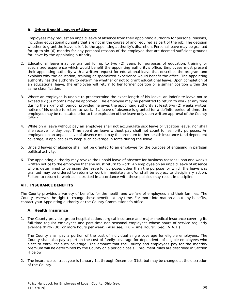#### **B. Other Unpaid Leaves of Absence**

- 1. Employees may request an unpaid leave of absence from their appointing authority for personal reasons, including educational pursuits that are not in the course of and required as part of the job. The decision whether to grant the leave is left to the appointing authority's discretion. Personal leave may be granted for up to six (6) months for any personal reasons of the employee that are deemed sufficient grounds for leave by the appointing authority.
- 2. Educational leave may be granted for up to two (2) years for purposes of education, training or specialized experience which would benefit the appointing authority's office. Employees must present their appointing authority with a written request for educational leave that describes the program and explains why the education, training or specialized experience would benefit the office. The appointing authority has the authority to determine whether or not to grant educational leave. Upon completion of an educational leave, the employee will return to her former position or a similar position within the same classification.
- 3. Where an employee is unable to predetermine the exact length of his leave, an indefinite leave not to exceed six (6) months may be approved. The employee may be permitted to return to work at any time during the six-month period, provided he gives the appointing authority at least two (2) weeks written notice of his desire to return to work. If a leave of absence is granted for a definite period of time, the employee may be reinstated prior to the expiration of the leave only upon written approval of the County Official.
- 4. While on a leave without pay an employee shall not accumulate sick leave or vacation leave, nor shall she receive holiday pay. Time spent on leave without pay shall not count for seniority purposes. An employee on an unpaid leave of absence must pay the premium for her health insurance (and dependent coverage, if applicable) to keep such coverage in force during the leave.
- 5. Unpaid leaves of absence shall not be granted to an employee for the purpose of engaging in partisan political activity.
- 6. The appointing authority may revoke the unpaid leave of absence for business reasons upon one week's written notice to the employee that she must return to work. An employee on an unpaid leave of absence who is determined to be using the leave for purposes other than the purpose for which the leave was granted may be ordered to return to work immediately and/or shall be subject to disciplinary action. Failure to return to work as instructed in accordance with these policies may result in discipline.

#### **VII. INSURANCE BENEFITS**

The County provides a variety of benefits for the health and welfare of employees and their families. The County reserves the right to change these benefits at any time. For more information about any benefits, contact your Appointing authority or the County Commissioner's office.

#### **A. Health Insurance**

1. The County provides group hospitalization/surgical insurance and major medical insurance covering its full-time regular employees and part-time non-seasonal employees whose hours of service regularly average thirty (30) or more hours per week. (Also see, "Full-Time Hours", Sec. IV.A.1.)

The County shall pay a portion of the cost of individual single coverage for eligible employees. The County shall also pay a portion the cost of family coverage for dependents of eligible employees who elect to enroll for such coverage. The amount that the County and employees pay for the monthly premium will be determined by the County on a periodic basis. Enrollment rules are described in Section H below.

2. The insurance contract year is January 1st through December 31st, but may be changed at the discretion of the County.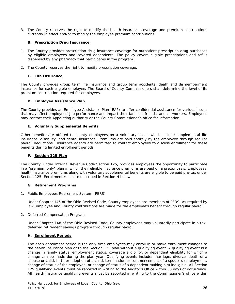3. The County reserves the right to modify the health insurance coverage and premium contributions currently in effect and/or to modify the employee premium contributions.

#### **B. Prescription Drug Insurance**

- 1. The County provides prescription drug insurance coverage for outpatient prescription drug purchases by eligible employees and covered dependents. The policy covers eligible prescriptions and refills dispensed by any pharmacy that participates in the program.
- 2. The County reserves the right to modify prescription coverage.

#### **C. Life Insurance**

The County provides group term life insurance and group term accidental death and dismemberment insurance for each eligible employee. The Board of County Commissioners shall determine the level of its premium contribution required for employees.

#### **D. Employee Assistance Plan**

The County provides an Employee Assistance Plan (EAP) to offer confidential assistance for various issues that may affect employees' job performance and impact their families, friends, and co-workers. Employees may contact their Appointing authority or the County Commissioner's office for information.

#### **E. Voluntary Supplemental Benefits**

Other benefits are offered to county employees on a voluntary basis, which include supplemental life insurance, disability, and dental insurance. Premiums are paid entirely by the employee through regular payroll deductions. Insurance agents are permitted to contact employees to discuss enrollment for these benefits during limited enrollment periods.

#### **F. Section 125 Plan**

The County, under Internal Revenue Code Section 125, provides employees the opportunity to participate in a "premium only" plan in which their eligible insurance premiums are paid on a pretax basis. Employees' health insurance premiums along with voluntary supplemental benefits are eligible to be paid pre-tax under Section 125. Enrollment rules are described in Section H below.

#### **G. Retirement Programs**

1. Public Employees Retirement System (PERS)

Under Chapter 145 of the Ohio Revised Code, County employees are members of PERS. As required by law, employee and County contributions are made for the employee's benefit through regular payroll.

2. Deferred Compensation Program

Under Chapter 148 of the Ohio Revised Code, County employees may voluntarily participate in a taxdeferred retirement savings program through regular payroll.

#### **H. Enrollment Periods**

1. The open enrollment period is the only time employees may enroll in or make enrollment changes to the health insurance plan or to the Section 125 plan without a qualifying event. A qualifying event is a change in family status, employment status, coverage eligibility, or dependent eligibility for which a change can be made during the plan year. Qualifying events include: marriage, divorce, death of a spouse or child, birth or adoption of a child, termination or commencement of a spouse's employment, change of status of the employee, or change of status of a dependent making him ineligible. All Section 125 qualifying events must be reported in writing to the Auditor's Office within 30 days of occurrence. All health insurance qualifying events must be reported in writing to the Commissioner's office within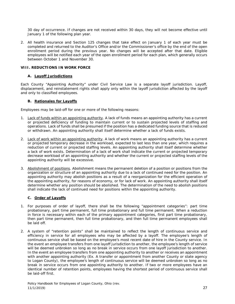30 day of occurrence. If changes are not received within 30 days, they will not become effective until January 1 of the following plan year.

2. All health insurance and Section 125 changes that take effect on January 1 of each year must be completed and returned to the Auditor's Office and/or the Commissioner's office by the end of the open enrollment period during the previous year. No changes will be accepted after that date. Eligible employees will be notified each year of the open enrollment period for each plan, which generally occurs between October 1 and November 30.

#### **VIII. REDUCTIONS IN WORK FORCE**

#### **A. Layoff Jurisdictions**

Each County "Appointing Authority" under Civil Service Law is a separate layoff jurisdiction. Layoff, displacement, and reinstatement rights shall apply only within the layoff jurisdiction affected by the layoff and only to classified employees.

#### **B. Rationales for Layoffs**

Employees may be laid-off for one or more of the following reasons:

- 1. Lack of funds within an appointing authority. A lack of funds means an appointing authority has a current or projected deficiency of funding to maintain current or to sustain projected levels of staffing and operations. Lack of funds shall be presumed if the position has a dedicated funding source that is reduced or withdrawn. An appointing authority shall itself determine whether a lack of funds exists.
- 2. Lack of work within an appointing authority. A lack of work means an appointing authority has a current or projected temporary decrease in the workload, expected to last less than one year, which requires a reduction of current or projected staffing levels. An appointing authority shall itself determine whether a lack of work exists. Determination of a lack of work shall indicate the current or projected temporary decrease workload of an appointing authority and whether the current or projected staffing levels of the appointing authority will be excessive.
- 3. Abolishment of positions. Abolishment means the permanent deletion of a position or positions from the organization or structure of an appointing authority due to a lack of continued need for the position. An appointing authority may abolish positions as a result of a reorganization for the efficient operation of the appointing authority, for reasons of economy, or for lack of work. An appointing authority shall itself determine whether any position should be abolished. The determination of the need to abolish positions shall indicate the lack of continued need for positions within the appointing authority.

#### **C. Order of Layoffs**

- 1. For purposes of order of layoff, there shall be the following "appointment categories": part time probationary, part time permanent, full time probationary and full time permanent. When a reduction in force is necessary within each of the primary appointment categories, first part time probationary, then part time permanent, then full time probationary, and then full time permanent employees shall be laid off.
- 2. A system of "retention points" shall be maintained to reflect the length of continuous service and efficiency in service for all employees who may be affected by a layoff. The employee's length of continuous service shall be based on the employee's most recent date of hire in the County service. In the event an employee transfers from one layoff jurisdiction to another, the employee's length of service will be deemed unbroken so long as no break in service occurs from one layoff jurisdiction to another. In the event an employee transfers from one appointing authority to another or receives an appointment with another appointing authority (Ex. A transfer or appointment from another County or state agency to Logan County), the employee's length of continuous service will be deemed unbroken so long as no break in service occurs from one appointing authority to another. If two or more employees have an identical number of retention points, employees having the shortest period of continuous service shall be laid-off first.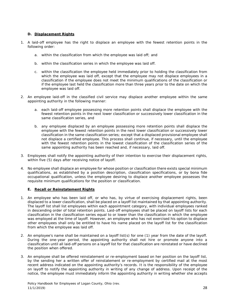#### **D. Displacement Rights**

- 1. A laid-off employee has the right to displace an employee with the fewest retention points in the following order:
	- a. within the classification from which the employee was laid off; and
	- b. within the classification series in which the employee was laid off.
	- c. within the classification the employee held immediately prior to holding the classification from which the employee was laid off, except that the employee may not displace employees in a classification if the employee does not meet the minimum qualifications of the classification or if the employee last held the classification more than three years prior to the date on which the employee was laid off.
- 2. An employee laid-off in the classified civil service may displace another employee within the same appointing authority in the following manner:
	- a. each laid-off employee possessing more retention points shall displace the employee with the fewest retention points in the next lower classification or successively lower classification in the same classification series, and
	- b. any employee displaced by an employee possessing more retention points shall displace the employee with the fewest retention points in the next lower classification or successively lower classification in the same classification series; except that a displaced provisional employee shall not displace a certified employee. This process shall continue, if necessary, until the employee with the fewest retention points in the lowest classification of the classification series of the same appointing authority has been reached and, if necessary, laid off.
- 3. Employees shall notify the appointing authority of their intention to exercise their displacement rights, within five (5) days after receiving notice of layoff.
- 4. No employee shall displace an employee for whose position or classification there exists special minimum qualifications, as established by a position description, classification specifications, or by bona fide occupational qualification, unless the employee desiring to displace another employee possesses the requisite minimum qualifications for the position or classification.

#### **E. Recall or Reinstatement Rights**

- 1. An employee who has been laid off, or who has, by virtue of exercising displacement rights, been displaced to a lower classification, shall be placed on a layoff list maintained by that appointing authority. The layoff list shall list employees within each appointment category, with individual employees ranked in descending order of total retention points. Laid-off employees shall be placed on layoff lists for each classification in the classification series equal to or lower than the classification in which the employee was employed at the time of layoff. However, an employee who has not exercised his option to displace other employees shall only be entitled to have his name placed on the layoff list for the classification from which the employee was laid off.
- 2. An employee's name shall be maintained on a layoff list(s) for one (1) year from the date of the layoff. During the one-year period, the appointing authority shall not hire or promote anyone into a classification until all laid-off persons on a layoff list for that classification are reinstated or have declined the position when offered.
- 3. An employee shall be offered reinstatement or re-employment based on her position on the layoff list, by the sending her a written offer of reinstatement or re-employment by certified mail at the most recent address indicated on the appointing authority's records. It is the responsibility of the employee on layoff to notify the appointing authority in writing of any change of address. Upon receipt of the notice, the employee must immediately inform the appointing authority in writing whether she accepts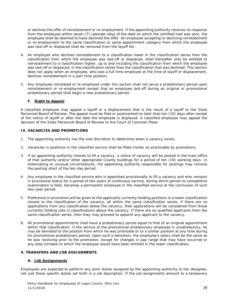or declines the offer of reinstatement or re-employment. If the appointing authority receives no response from the employee within seven (7) calendar days of the date on which the certified mail was sent, the employee shall be deemed to have declined the offer. An employee accepting or declining reinstatement or re-employment to the same classification or same appointment category from which the employee was laid-off or displaced shall be removed from the layoff list.

- 4. An employee who declines reinstatement to a classification lower in the classification series than the classification from which the employee was laid-off or displaced, shall thereafter only be entitled to reinstatement to a classification higher, up to and including the classification from which the employee was laid-off or displaced, in the classification series than the classification that was declined. This section does not apply when an employee, who was a full time employee at the time of layoff or displacement, declines reinstatement in a part time position.
- 5. Any employee reinstated or re-employed under this section shall not serve a probationary period upon reinstatement or re-employment except that an employee laid-off during an original or promotional probationary period shall begin a new probationary period.

#### **F. Right to Appeal**

A classified employee may appeal a layoff or a displacement that is the result of a layoff to the State Personnel Board of Review. The appeal must be filed or postmarked no later than ten (10) days after receipt of the notice of layoff or after the date the employee is displaced. A classified employee may appeal the decision of the State Personnel Board of Review to the Court of Common Pleas.

#### **IX. VACANCIES AND PROMOTIONS**

- 1. The appointing authority has the sole discretion to determine when a vacancy exists.
- 2. Vacancies in positions in the classified service shall be filled insofar as practicable by promotions.
- 3. If an appointing authority intends to fill a vacancy, a notice of vacancy will be posted in the main office of that authority and/or other appropriate County buildings for a period of ten (10) working days. In extenuating or unusual circumstances, the appointing authority responsible for postings may remove the posting short of the ten-day period.
- 4. Any employee in the classified service who is appointed provisionally to fill a vacancy and who remains in provisional status for a period of two years of continuous service, during which period no competitive examination is held, becomes a permanent employee in the classified service at the conclusion of such two-year period.
- 5. Preference in promotion will be given to the applicants currently holding positions in a lower classification closest to the classification of the vacancy, all within the same classification series. If there are no applications from any classification below the vacancy, then applications will be considered from those currently holding jobs in classifications above the vacancy. If there are no qualified applicants from the same classification series, then they may proceed to appoint any applicant to the vacancy.
- 6. All promotional appointments shall have a probationary period equal to that of an original appointment within that classification. If the service of the promotional probationary employee is unsatisfactory, he may be demoted to the position from which he was promoted or to a similar position at any time during his promotional probationary period. Upon such a demotion, the employee's salary shall be the same as he was receiving prior to the promotion, except for changes in pay range that may have occurred or any step increase to which the employee would have been entitled in the lower classification.

#### **X. TRANSFERS AND JOB ASSIGNMENTS**

#### **A. Job Assignments**

Employees are expected to perform any work duties assigned by the appointing authority or her designee, not just those specific duties set forth in a job description. If the job assignments amount to a temporary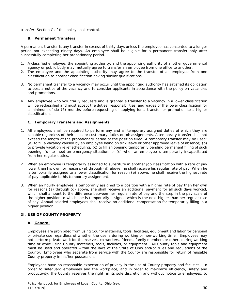transfer, Section C of this policy shall control.

#### **B. Permanent Transfers**

A permanent transfer is any transfer in excess of thirty days unless the employee has consented to a longer period not exceeding ninety days. An employee shall be eligible for a permanent transfer only after successfully completing her probationary period.

- 1. A classified employee, the appointing authority, and the appointing authority of another governmental agency or public body may mutually agree to transfer an employee from one office to another.
- 2. The employee and the appointing authority may agree to the transfer of an employee from one classification to another classification having similar qualifications.
- 3. No permanent transfer to a vacancy may occur until the appointing authority has satisfied its obligation to post a notice of the vacancy and to consider applicants in accordance with the policy on vacancies and promotions.
- 4. Any employee who voluntarily requests and is granted a transfer to a vacancy in a lower classification will be reclassified and must accept the duties, responsibilities, and wages of the lower classification for a minimum of six (6) months before requesting or applying for a transfer or promotion to a higher classification.

#### **C. Temporary Transfers and Assignments**

- 1. All employees shall be required to perform any and all temporary assigned duties of which they are capable regardless of their usual or customary duties or job assignments. A temporary transfer shall not exceed the length of the probationary period of the position filled. A temporary transfer may be used: (a) to fill a vacancy caused by an employee being on sick leave or other approved leave of absence; (b) to provide vacation relief scheduling; (c) to fill an opening temporarily pending permanent filling of such opening; (d) to meet an emergency situation; or (e) when an employee is temporarily incapacitated from her regular duties.
- 2. When an employee is temporarily assigned to substitute in another job classification with a rate of pay lower than his own for reasons (a) through (d) above, he shall receive his regular rate of pay. When he is temporarily assigned to a lower classification for reason (e) above, he shall receive the highest rate of pay applicable to his temporary assignment.
- 3. When an hourly employee is temporarily assigned to a position with a higher rate of pay than her own for reasons (a) through (d) above, she shall receive an additional payment for all such days worked, which shall amount to the difference between her regular rate of pay and the step in the pay scale of the higher position to which she is temporarily assigned which is the next higher than her regular rate of pay. Annual salaried employees shall receive no additional compensation for temporarily filling in a higher position.

#### **XI. USE OF COUNTY PROPERTY**

#### **A. General**

Employees are prohibited from using County materials, tools, facilities, equipment and labor for personal or private use regardless of whether the use is during working or non-working time. Employees may not perform private work for themselves, co-workers, friends, family members or others during working time or while using County materials, tools, facilities, or equipment. All County tools and equipment must be used and operated within the laws of the State of Ohio and/or rules and regulations of the County. Employees who separate from service with the County are responsible for return of reusable County property in his/her possession.

Employees have no reasonable expectation of privacy in the use of County property and facilities. In order to safeguard employees and the workplace, and in order to maximize efficiency, safety and productivity, the County reserves the right, in its sole discretion and without notice to employees, to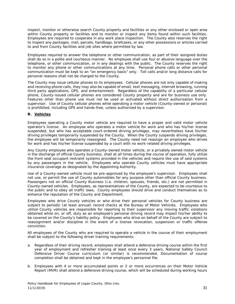inspect, monitor or otherwise search County property and facilities or any other enclosed or open area within County property or facilities and to monitor or inspect any items found within such facilities. Employees are required to cooperate in any work place inspection. The County also reserves the right to inspect any packages, mail, parcels, handbags, briefcases, or any other possessions or articles carried to and from County facilities and job sites where permitted by law.

Employees required to answer the telephone or other communication, as part of their assigned duties shall do so in a polite and courteous manner. No employee shall use foul or abusive language over the telephone, or other communication, or in any dealings with the public. The County reserves the right to monitor any phone or other communications at any time. Personal phone calls or other personal communication must be kept to an "on emergency basis" only. Toll calls and/or long distance calls for personal reasons shall not be charged to the County.

The County may issue cellular phones to its employees. Cellular phones are not only capable of making and receiving phone calls, they may also be capable of email, text messaging, internet browsing, running third party applications, GPS, and entertainment. Regardless of the capability of a particular cellular phone, County-issued cellular phones are considered County property and are for business use only. Features other than phone use must not be used or activated without direct authorization from a supervisor. Use of County cellular phones while operating a motor vehicle (County-owned or personal) is prohibited, including GPS and hands-free, unless authorized by a supervisor.

#### **B. Vehicles**

Employees operating a County motor vehicle are required to have a proper and valid motor vehicle operator's license. An employee who operates a motor vehicle for work and who has his/her license suspended, but who has acceptable court-ordered driving privileges, may nevertheless have his/her driving privileges temporarily suspended by the County. When the County suspends driving privileges, the employee will be temporarily reassigned. The County need not reassign an employee who drives for work and has his/her license suspended by a court with no work-related driving privileges.

Any County employee who operates a County-owned motor vehicle, or a privately owned motor vehicle in the discharge of official County business, shall at all times during the course of operation, fully utilize the front seat occupant restraint systems provided in the vehicles and require like use of said systems by any passengers in the vehicle. Employees who operate County vehicles must have appropriate insurance coverage as designated by the Appointing Authority.

Use of a County-owned vehicle must be pre-approved by the employee's supervisor. Employees shall not use, or permit the use of County automobiles for any purpose other than official County business. Passengers not on official County Business (i.e. children, spouses, friends, etc.) are not permitted in County-owned vehicles. Employees, as representatives of the County, are expected to be courteous to the public and to obey all traffic laws**.** County employees should drive and conduct themselves as to enhance the reputation of the County and Department.

Employees who drive County vehicles or who drive their personal vehicles for County business are subject to periodic (at least annual) record checks at the Bureau of Motor Vehicles. Employees who utilize County vehicles are responsible for reporting to their supervisor any moving traffic violations obtained while on, or off, duty as an employee's personal driving record may impact his/her ability to be covered on the County's liability policy. Employees who drive on behalf of the County are subject to reassignment and/or discipline in the event of a license revocation, suspension or traffic offense conviction.

All employees of the County who are required to operate a vehicle in the course of their employment shall be subject to the following driver training requirements:

- a. Regardless of their driving record, employees shall attend a defensive driving course within the first year of employment and refresher training at least once every 3 years. National Safety Council Defensive Driver Course curriculum (or similar) is recommended. Documentation of course completion shall be obtained and kept in the employee's personnel file.
- b. Employees with 4 or more accumulated points or 2 or more occurrences on their Motor Vehicle Report (MVR) shall attend a defensive driving course, which will be scheduled during working hours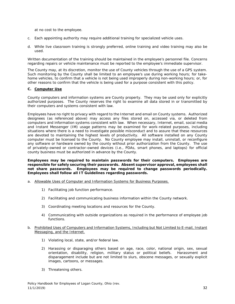at no cost to the employee.

- c. Each appointing authority may require additional training for specialized vehicle uses.
- d. While live classroom training is strongly preferred, online training and video training may also be used.

Written documentation of the training should be maintained in the employee's personnel file. Concerns regarding repairs or vehicle maintenance must be reported to the employee's immediate supervisor.

The County may, at its discretion, monitor the use of County vehicles through the use of a GPS system. Such monitoring by the County shall be limited to an employee's use during working hours; for takehome vehicles, to confirm that a vehicle is not being used improperly during non-working hours; or, for other reasons to confirm that the vehicle is being used for a purpose consistent with this policy.

#### **C. Computer Use**

County computers and information systems are County property. They may be used only for explicitly authorized purposes. The County reserves the right to examine all data stored in or transmitted by their computers and systems consistent with law.

Employees have no right to privacy with regard to the Internet and email on County systems. Authorized designees (as referenced above) may access any files stored on, accessed via, or deleted from computers and information systems consistent with law. When necessary, Internet, email, social media and Instant Messenger (IM) usage patterns may be examined for work-related purposes, including situations where there is a need to investigate possible misconduct and to assure that these resources are devoted to maintaining the highest levels of productivity. All software installed on any County computer must be licensed to the County. No County employee may install, uninstall, or reconfigure any software or hardware owned by the county without prior authorization from the County. The use of privately-owned or contractor-owned devices (i.e., PDAs, smart phones, and laptops) for official county business must be authorized in advance by the County.

**Employees may be required to maintain passwords for their computers. Employees are responsible for safely securing their passwords. Absent supervisor approval, employees shall not share passwords. Employees may be required to change passwords periodically. Employees shall follow all IT Guidelines regarding passwords.**

- a. Allowable Uses of Computer and Information Systems for Business Purposes.
	- 1) Facilitating job function performance.
	- 2) Facilitating and communicating business information within the County network.
	- 3) Coordinating meeting locations and resources for the County.
	- 4) Communicating with outside organizations as required in the performance of employee job functions.
- b. Prohibited Uses of Computers and Information Systems, Including but Not Limited to E-mail, Instant Messaging, and the Internet.
	- 1) Violating local, state, and/or federal law.
	- 2) Harassing or disparaging others based on age, race, color, national origin, sex, sexual orientation, disability, religion, military status or political beliefs. Harassment and disparagement include but are not limited to slurs, obscene messages, or sexually explicit images, cartoons, or messages.
	- 3) Threatening others.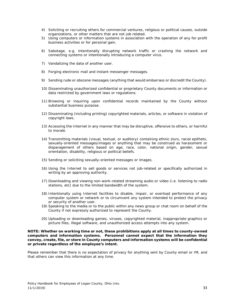- 4) Soliciting or recruiting others for commercial ventures, religious or political causes, outside organizations, or other matters that are not job related.
- 5) Using computers or information systems in association with the operation of any for-profit business activities or for personal gain.
- 6) Sabotage, e.g. intentionally disrupting network traffic or crashing the network and connecting systems or intentionally introducing a computer virus.
- 7) Vandalizing the data of another user.
- 8) Forging electronic mail and instant messenger messages.
- 9) Sending rude or obscene messages (anything that would embarrass or discredit the County).
- 10) Disseminating unauthorized confidential or proprietary County documents or information or data restricted by government laws or regulations.
- 11) Browsing or inquiring upon confidential records maintained by the County without substantial business purpose.
- 12) Disseminating (including printing) copyrighted materials, articles, or software in violation of copyright laws.
- 13) Accessing the Internet in any manner that may be disruptive, offensive to others, or harmful to morale.
- 14) Transmitting materials (visual, textual, or auditory) containing ethnic slurs, racial epithets, sexually-oriented messages/images or anything that may be construed as harassment or disparagement of others based on age, race, color, national origin, gender, sexual orientation, disability, religious or political beliefs.
- 15) Sending or soliciting sexually-oriented messages or images.
- 16) Using the Internet to sell goods or services not job-related or specifically authorized in writing by an approving authority.
- 17) Downloading and viewing non-work-related streaming audio or video (i.e. listening to radio stations, etc) due to the limited bandwidth of the system.
- 18) Intentionally using Internet facilities to disable, impair, or overload performance of any computer system or network or to circumvent any system intended to protect the privacy or security of another user.
- 19) Speaking to the media or to the public within any news group or chat room on behalf of the County if not expressly authorized to represent the County.
- 20) Uploading or downloading games, viruses, copyrighted material, inappropriate graphics or picture files, illegal software, and unauthorized access attempts into any system.

#### **NOTE: Whether on working time or not, these prohibitions apply at all times to county-owned computers and information systems. Personnel cannot expect that the information they convey, create, file, or store in County computers and information systems will be confidential or private regardless of the employee's intent.**

Please remember that there is no expectation of privacy for anything sent by County email or IM, and that others can view this information at any time.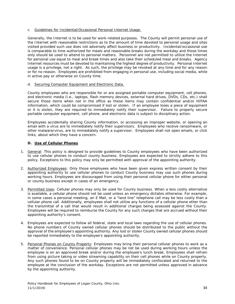#### c. Guidelines for Incidental/Occasional Personal Internet Usage.

Generally, the Internet is to be used for work-related purposes. The County will permit personal use of the Internet with reasonable restrictions as to the amount of time devoted to personal usage and sites visited provided such use does not adversely affect business or productivity. Incidental/occasional use is comparable to time authorized for meals and reasonable breaks during the workday and those times only should be used to attend to personal matters. Personnel are not permitted to utilize the Internet for personal use equal to meal and break times and also take their scheduled meal and breaks. Agency Internet resources must be devoted to maintaining the highest degree of productivity. Personal Internet usage is a privilege, not a right. As such, the privilege may be revoked at any time and for any reason or for no reason. Employees are prohibited from engaging in personal use, including social media, while in active pay or otherwise on County time.

#### d. Securing Computer Equipment and Electronic Data.

County employees who are responsible for or are assigned portable computer equipment, cell phones, and electronic media (i.e., laptops, flash memory devices, external hard drives, DVDs, CDs, etc.) shall secure those items when not in the office as these items may contain confidential and/or HIPAA information, which could be compromised if lost or stolen. If an employee loses a piece of equipment or it is stolen, they are required to immediately notify their supervisor. Failure to properly secure portable computer equipment, cell phone, and electronic data is subject to disciplinary action.

Employees accidentally sharing County information, or accessing an improper website, or opening an email with a virus are to immediately notify their supervisors. Employees who receive ransomware, or other malware/virus, are to immediately notify a supervisor. Employees shall not open emails, or click links, about which they have a concern.

#### **D. Use of Cellular Phones**

- 1. General: This policy is designed to provide guidelines to County employees who have been authorized to use cellular phones to conduct county business. Employees are expected to strictly adhere to this policy. Exceptions to this policy may only be permitted with approval of the appointing authority.
- 2. Authorized Employees: Only those employees who have been given express written consent by their appointing authority to use cellular phones to conduct County business may use such phones during working hours. Employees are discouraged from using their personal cellular phone for either personal or county business except in cases of an emergency.
- 3. Permitted Uses: Cellular phones may only be used for County business. When a less costly alternative is available, a cellular phone should not be used unless an emergency dictates otherwise. For example, in some cases a personal meeting, an E Mail, or a "land line" telephone call may be less costly than a cellular phone call. Additionally, employees shall not utilize any functions of a cellular phone other than the transmittal of a call that would result in additional charges being assessed against the County. Employees will be required to reimburse the County for any such charges that are accrued without their appointing authority's consent.
- 4. Employees are expected to follow all federal, state and local laws regarding the use of cellular phones. No phone numbers of County owned cellular phones should be distributed to the public without the approval of the employee's appointing authority. Any lost or stolen County owned cellular phones should be reported immediately to the employee's appointing authority.
- 5. Personal Phones on County Property: Employees may bring their personal cellular phones to work as a matter of convenience. Personal cellular phones may be not be used during working hours unless the employee is on an approved break and/or during the employee's lunch break. Employees shall refrain from using picture taking or video streaming capability on their cell phones while on County property. Any such phones found to be on County property will be immediately confiscated and returned to the employee at the conclusion of the workday. Exceptions are not permitted unless approved in advance by the appointing authority.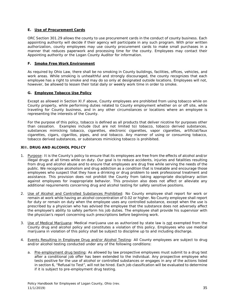#### **E. Use of Procurement Cards**

ORC Section 301.29 allows the county to use procurement cards in the conduct of county business. Each appointing authority will decide if their agency will participate in any such program. With prior written authorization, county employees may use county procurement cards to make small purchases in a manner that reduces paperwork and processing time for the county. Employees may contact their Appointing authority or the Logan County Auditor for information.

#### **F. Smoke Free Work Environment**

As required by Ohio Law, there shall be no smoking in County buildings, facilities, offices, vehicles, and work areas. While smoking is unhealthful and strongly discouraged, the county recognizes that each employee has a right to smoke and may do so only at designated outside locations. Employees will not, however, be allowed to lessen their total daily or weekly work time in order to smoke.

#### **G. Employee Tobacco Use Policy**

Except as allowed in Section XI.F above, County employees are prohibited from using tobacco while on County property, while performing duties related to County employment whether on or off site, while traveling for County business, and in any other circumstances or locations where an employee is representing the interests of the County.

For the purpose of this policy, tobacco is defined as all products that deliver nicotine for purposes other than cessation. Examples include (but are not limited to) tobacco, tobacco derived substances, substances mimicking tobacco, cigarettes, electronic cigarettes, vapor cigarettes, artificial/faux cigarettes, cigars, cigarillos, pipes, and oral tobacco. Any manner of using or consuming tobacco, tobacco derived substances, or substances mimicking tobacco is prohibited.

#### **XII. DRUG AND ALCOHOL POLICY**

- 1. Purpose: It is the County's policy to ensure that its employees are free from the effects of alcohol and/or illegal drugs at all times while on duty. Our goal is to reduce accidents, injuries and fatalities resulting from drug and alcohol abuse and to ensure that employees are drug free while serving the needs of the public. We recognize alcoholism and drug addiction as a condition that is treatable and encourage those employees who suspect that they have a drinking or drug problem to seek professional treatment and assistance. This provision does not prohibit the County from taking appropriate disciplinary action against employees for inappropriate behavior. This provision also does not affect or alleviate any additional requirements concerning drug and alcohol testing for safety sensitive positions.
- 2. Use of Alcohol and Controlled Substances Prohibited: No County employee shall report for work or remain at work while having an alcohol concentration of 0.02 or higher. No County employee shall report for duty or remain on duty when the employee uses any controlled substance, except when the use is prescribed by a physician who has advised the employee that the substance does not adversely affect the employee's ability to safely perform his job duties. The employee shall provide his supervisor with the physician's report concerning such prescriptions before beginning work.
- 3. Use of Medical Marijuana: Medical marijuana use as authorized by state law is not exempted from the County drug and alcohol policy and constitutes a violation of this policy. Employees who use medical marijuana in violation of this policy shall be subject to discipline up to and including discharge.
- 4. Events Resulting in Employee Drug and/or Alcohol Testing: All County employees are subject to drug and/or alcohol testing conducted under any of the following conditions:
	- a. Pre-employment drug testing: As allowed by law prospective employees must submit to a drug test after a conditional job offer has been extended to the individual. Any prospective employee who tests positive for the use of alcohol or controlled substances or engages in any of the actions listed in section 6, "Refusal to Test", will not be hired. Each job classification will be evaluated to determine if it is subject to pre-employment drug testing.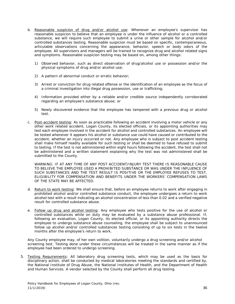- b. Reasonable suspicion of drug and/or alcohol use: Whenever an employee's supervisor has reasonable suspicion to believe that an employee is under the influence of alcohol or a controlled substance, we will require such employee to submit a urine or other sample for alcohol and/or controlled substances testing. Reasonable suspicion must be based on specific, contemporaneous, articulable observations concerning the appearance, behavior, speech or body odors of the employee. All supervisors and managers will be trained to recognize drug and alcohol related signs and symptoms. Reasonable suspicion testing may be based on, among other things:
	- 1) Observed behavior, such as direct observation of drug/alcohol use or possession and/or the physical symptoms of drug and/or alcohol use;
	- 2) A pattern of abnormal conduct or erratic behavior;
	- 3) Arrest or conviction for drug related offense or the identification of an employee as the focus of a criminal investigation into illegal drug possession, use or trafficking;
	- 4) Information provided either by a reliable and/or credible source independently corroborated regarding an employee's substance abuse; or
	- 5) Newly discovered evidence that the employee has tampered with a previous drug or alcohol test.
- c. Post-accident testing: As soon as practicable following an accident involving a motor vehicle or any other work related accident, Logan County, its elected officials, or its appointing authorities may test each employee involved in the accident for alcohol and controlled substances. An employee will be tested whenever it appears his alcohol or substance use could have caused or contributed to the accident, whether an injury occurred or not. Any employee who is subject to post accident testing shall make himself readily available for such testing or shall be deemed to have refused to submit to testing. If the test is not administered within eight hours following the accident, the test shall not be administered and a written statement explaining why the test was not administered shall be submitted to the County.

WARNING: IF AT ANY TIME OF ANY POST ACCIDENT/INJURY TEST THERE IS REASONABLE CAUSE TO BELIEVE THE EMPLOYEE USED A PROHIBITED SUBSTANCE OR WAS UNDER THE INFLUENCE OF SUCH SUBSTANCES AND THE TEST RESULT IS POSITIVE OR THE EMPLOYEE REFUSES TO TEST, ELIGIBILITY FOR COMPENSATION AND BENEFITS UNDER THE WORKERS' COMPENSATION LAWS OF THE STATE MAY BE AFFECTED.

- d. Return to work testing: We shall ensure that, before an employee returns to work after engaging in prohibited alcohol and/or controlled substance conduct, the employee undergoes a return to work alcohol test with a result indicating an alcohol concentration of less than 0.02 and a verified negative result for controlled substance abuse.
- e. Follow up drug and alcohol testing: Any employee who tests positive for the use of alcohol or controlled substances while on duty may be evaluated by a substance abuse professional. If, following an evaluation, Logan County, its elected official, or its appointing authority directs the employee to undergo substance abuse counseling, the employee shall be subject to unannounced follow up alcohol and/or controlled substances testing consisting of up to six tests in the twelve months after the employee's return to work.

Any County employee may, of her own volition, voluntarily undergo a drug screening and/or alcohol screening test. Testing done under these circumstances will be treated in the same manner as if the employee had been ordered to undergo screening.

5. Testing Requirements: All laboratory drug screening tests, which may be used as the basis for disciplinary action, shall be conducted by medical laboratories meeting the standards and certified by, the National Institute of Drug Abuse, the National Institutes of Health, and the Department of Health and Human Services. A vendor selected by the County shall perform all drug testing.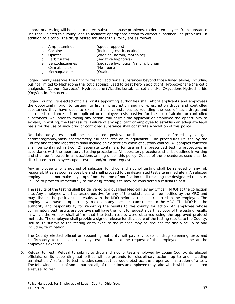Laboratory testing will be used to detect substance abuse problems, to deter employees from substance use that violates this Policy, and to facilitate appropriate action to correct substance use problems. In addition to alcohol, the drugs tested for under this Policy are as follows:

|                | a. Amphetamines    | (speed, uppers)                       |
|----------------|--------------------|---------------------------------------|
| b <sub>1</sub> | Cocaine            | (including crack cocaine)             |
| C.             | Opiates            | (codeine, heroin, morphine)           |
|                | d. Barbiturates    | (sedative hypnotics)                  |
|                | e. Benzodiazepines | (sedative hypnotics, Valium, Librium) |
| f.             | Cannabinoids       | (Marijuana)                           |
| a              | Methaqualone       | (Qualudes)                            |

Logan County reserves the right to test for additional substances beyond those listed above, including but not limited to Methadone (narcotic agonist, used to treat heroin addiction); Propoxyphene (narcotic analgesics, Darvon, Darvocet); Hydrocodone (Vicodin, Lortab, Lorcet); and/or Oxycodone Hydrochloride (OxyContin, Percocet).

Logan County, its elected officials, or its appointing authorities shall afford applicants and employees the opportunity, prior to testing, to list all prescription and non-prescription drugs and controlled substances they have used to explain the circumstances surrounding the use of such drugs and controlled substances. If an applicant or employee tests positive for the use of alcohol or controlled substances, we, prior to taking any action, will permit the applicant or employee the opportunity to explain, in writing, the test results. Failure of any applicant or employee to establish an adequate legal basis for the use of such drug or controlled substance shall constitute a violation of this policy.

No laboratory test shall be considered positive until it has been confirmed by a gas chromatography/mass spectrometry full scan test or its equivalent. The procedures utilized by the County and testing laboratory shall include an evidentiary chain of custody control. All samples collected shall be contained in two (2) separate containers for use in the prescribed testing procedures in accordance with the laboratory's testing procedures. All laboratory procedures shall be outlined in writing and shall be followed in all situations arising under this policy. Copies of the procedures used shall be distributed to employees upon testing and/or upon request.

Any employee who is notified of selection for drug and alcohol testing shall be relieved of any job responsibilities as soon as possible and shall proceed to the designated test site immediately. A selected employee shall not make any stops from the time of notification until reaching the designated test site. Failure to proceed immediately to the drug testing site may be considered a refusal to test.

The results of the testing shall be delivered to a qualified Medical Review Officer (MRO) at the collection site. Any employee who has tested positive for any of the substances will be notified by the MRO and may discuss the positive test results with the MRO before a result is reported to the employer. The employee will have an opportunity to explain any special circumstances to the MRO. The MRO has the authority and responsibility for reporting the results to the county for action. An employee whose confirmatory test results are positive shall have the right to request a certified copy of the testing results in which the vendor shall affirm that the tests results were obtained using the approved protocol methods. The employee shall provide a signed release for disclosure of the testing results to the County. Refusal to submit to the testing or to execute the release may be grounds for discipline up to and including termination.

The County elected official or appointing authority will pay any costs of drug screening tests and confirmatory tests except that any test initiated at the request of the employee shall be at the employee's expense.

6. Refusal to Test: Refusal to submit to drug and alcohol tests employed by Logan County, its elected officials, or its appointing authorities will be grounds for disciplinary action, up to and including termination. A refusal to test includes conduct that would obstruct the proper administration of a test. The following is a list of some, but not all, of the actions an employee may take which will be considered a refusal to test: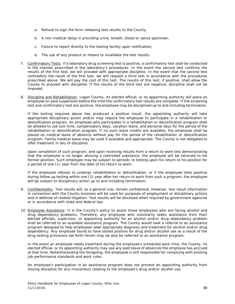- a. Refusal to sign the form releasing test results to the County;
- b. A non-medical delay in providing urine, breath, blood or saliva specimen;
- c. Failure to report directly to the testing facility upon notification;
- d. The use of any product or means to invalidate the test results.
- 7. Confirmatory Tests: If a laboratory drug screening test is positive, a confirmatory test shall be conducted in the manner prescribed in the laboratory's procedures. In the event the second test confirms the results of the first test, we will proceed with appropriate discipline. In the event that the second test contradicts the result of the first test, we will request a third test in accordance with the procedures prescribed above. We will pay the cost of this test. The results of this test, if positive, shall allow the County to proceed with discipline. If the results of the third test are negative, discipline shall not be imposed.
- 8. Discipline and Rehabilitation: Logan County, its elected official, or its appointing authority will place an employee on paid suspension before the time the confirmatory test results are complete. If the screening test and confirmatory test are positive, the employee may be disciplined up to and including termination.

If the testing required above has produced a positive result, the appointing authority will take appropriate disciplinary action and/or may require the employee to participate in a rehabilitation or detoxification program. An employee who participates in a rehabilitation or detoxification program shall be allowed to use sick time, compensatory days, vacation leave, and personal days for the period of the rehabilitation or detoxification program. If no such leave credits are available, the employee shall be placed on medical leave of absence without pay for the period of the rehabilitation or detoxification program. Family medical leave may be used if available and appropriate. The County is not obligated to offer treatment in lieu of discipline.

Upon completion of such program, and upon receiving results from a return to work test demonstrating that the employee is no longer abusing a controlled substance, the employee will be returned to his former position. Such employee may be subject to periodic re testing upon his return to his position for a period of one (1) year from the date of his return to work.

If the employee refuses to undergo rehabilitation or detoxification, or if the employee tests positive during follow up testing within one (1) year after her return to work from such a program, the employee will be subject to disciplinary action up to and including termination.

- 9. Confidentiality: Test results will, as a general rule, remain confidential. However, test result information in connection with the County business will be used for purposes of employment or disciplinary actions and in defense of related litigation. Test results will be disclosed when required by government agencies or in accordance with state and federal law.
- 10. Employee Assistance: It is the County's policy to assist those employees who are facing alcohol and drug dependency problems. Therefore, any employee who voluntarily seeks assistance from their elected officials, supervisor, or appointing authority for an alcohol and/or drug dependency problem shall be referred to an available assistance program. The County would seek a referral to an assistance program designed to help employees seek appropriate diagnosis and treatment for alcohol and/or drug dependency. Any employee found to have tested positive for drug and/or alcohol use as a result of the drug testing provisions set forth herein may be also be referred to an assistance program.

In the event an employee needs treatment during the employee's scheduled work time, the County, its elected official, or its appointing authority may use any paid leave of absences the employee has accrued at that time. Notwithstanding the foregoing, the employee is still responsible for complying with existing job performance standards and work rules.

An employee's participation in an assistance program does not prevent an appointing authority from issuing discipline for any misconduct relating to the employee's drug and/or alcohol use.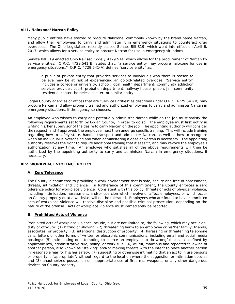#### **VIII. Naloxone/Narcan Policy**

Many public entities have started to procure Naloxone, commonly known by the brand name Narcan, and allow their employees to carry and administer it in emergency situations to counteract drug overdoses. The Ohio Legislature recently passed Senate Bill 319, which went into effect on April 6, 2017, which allows for a service entity to procure Narcan for use in emergency situations.

Senate Bill 319 enacted Ohio Revised Code § 4729.514, which allows for the procurement of Narcan by service entities. O.R.C. 4729.541(B) states that, "a service entity may procure naloxone for use in emergency situations." O.R.C. 4729.541(A) defines "service entity" as:

a public or private entity that provides services to individuals who there is reason to believe may be at risk of experiencing an opioid-related overdose. "Service entity" includes a college or university, school, local health department, community addiction services provider, court, probation department, halfway house, prison, jail, community residential center, homeless shelter, or similar entity.

Logan County agencies or offices that are "Service Entities" as described under O.R.C. 4729.541(B) may procure Narcan and allow properly trained and authorized employees to carry and administer Narcan in emergency situations, if the agency so chooses.

An employee who wishes to carry and potentially administer Narcan while on the job must satisfy the following requirements set forth by Logan County, in order to do so. The employee must first notify in writing his/her supervisor of the desire to carry Narcan on the job. The appointing authority will consider the request, and if approved, the employee must then undergo specific training. This will include training regarding how to safely store, handle, transport and administer Narcan, as well as how to recognize when an individual is overdosing and when administering a dose of Narcan is necessary. The appointing authority reserves the right to require additional training that it sees fit, and may revoke the employee's authorization at any time. An employee who satisfies all of the above requirements will then be authorized by the appointing authority to carry and administer Narcan in emergency situations, if necessary.

#### **XIV. WORKPLACE VIOLENCE POLICY**

#### **A. Zero Tolerance**

The County is committed to providing a work environment that is safe, secure and free of harassment, threats, intimidation and violence. In furtherance of this commitment, the County enforces a zero tolerance policy for workplace violence. Consistent with this policy, threats or acts of physical violence, including intimidation, harassment, and/or coercion which involve or affect employees, or which occur on County property or at a worksite, will not be tolerated. Employees who are found to have committed acts of workplace violence will receive discipline and possible criminal prosecution, depending on the nature of the offense. Acts of workplace violence must immediately be reported.

#### **B. Prohibited Acts of Violence**

Prohibited acts of workplace violence include, but are not limited to, the following, which may occur onduty or off-duty: (1) hitting or shoving; (2) threatening harm to an employee or his/her family, friends, associates, or property; (3) intentional destruction of property; (4) harassing or threatening telephone calls, letters or other forms of written or electronic communications, including email and social media postings; (5) intimidating or attempting to coerce an employee to do wrongful acts, as defined by applicable law, administrative rule, policy, or work rule; (6) willful, malicious and repeated following of another person, also known as "stalking" and/or making threats with the intent to place another person in reasonable fear for his/her safety; (7) suggesting or otherwise intimating that an act to injure persons or property is "appropriate", without regard to the location where the suggestion or intimation occurs; and (8) unauthorized possession or inappropriate use of firearms, weapons, or any other dangerous devices on County property.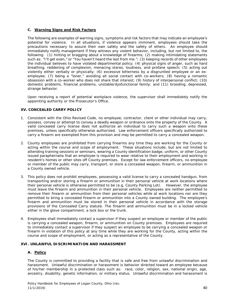#### **C. Warning Signs and Risk Factors**

The following are examples of warning signs, symptoms and risk factors that may indicate an employee's potential for violence. In all situations, if violence appears imminent, employees should take the precautions necessary to assure their own safety and the safety of others. An employee should immediately notify management if they witness any violent behavior, including, but not limited to, the following: (1) hinting or bragging about a knowledge of firearms; (2) making intimidating statements such as: "I'll get even," or "You haven't heard the last from me."; (3) keeping records of other employees the individual believes to have violated departmental policy; (4) physical signs of anger, such as hard breathing, reddening of complexion, menacing stares, loudness, and profane speech; (5) acting out violently either verbally or physically; (6) excessive bitterness by a disgruntled employee or an exemployee; (7) being a "loner," avoiding all social contact with co-workers; (8) having a romantic obsession with a co-worker who does not share that interest; (9) history of interpersonal conflict; (10) domestic problems, financial problems, unstable/dysfunctional family; and (11) brooding, depressed, strange behavior.

Upon receiving a report of potential workplace violence, the supervisor shall immediately notify the appointing authority or the Prosecutor's Office.

#### **XV. CONCEALED CARRY POLICY**

- 1. Consistent with the Ohio Revised Code, no employee, contractor, client or other individual may carry, possess, convey or attempt to convey a deadly weapon or ordnance onto the property of the County. A valid concealed carry license does not authorize an individual to carry such a weapon onto these premises, unless specifically otherwise authorized. Law enforcement officers specifically authorized to carry a firearm are exempted from this provision and may be permitted to carry a concealed weapon.
- 2. County employees are prohibited from carrying firearms any time they are working for the County or acting within the course and scope of employment. These situations include, but are not limited to attending training sessions or seminars, wearing a County identification badge, uniform, or other County issued paraphernalia that an employee is required to wear relative to their employment and working in resident's homes or other sites off County premises. Except for law enforcement officers, no employee or member of the public may carry, transport, or store a concealed weapon, firearm, or ammunition in a County owned vehicle.
- 3. This policy does not prohibit employees, possessing a valid license to carry a concealed handgun, from transporting and/or storing a firearm or ammunition in their personal vehicle at work locations where their personal vehicle is otherwise permitted to be (e.g. County Parking Lot). However, the employee must leave the firearm and ammunition in their personal vehicle. Employees are neither permitted to remove their firearm or ammunition from their personal vehicles while at work locations nor are they permitted to bring a concealed firearm or ammunition into a County owned building. The employee's firearm and ammunition must be stored in their personal vehicle in accordance with the storage provisions of the Concealed Carry statute. The firearm and ammunition must be in a locked vehicle either in the glove compartment, a lock box or the trunk.
- 4. Employees shall immediately contact a supervisor if they suspect an employee or member of the public is carrying a concealed weapon, firearm, or ammunition on County premises. Employees are required to immediately contact a supervisor if they suspect an employee to be carrying a concealed weapon or firearm in violation of this policy at any time while they are working for the County, acting within the course and scope of employment, or acting as a representative of the County.

#### **XVI. UNLAWFUL DISCRIMINATION AND HARASSMENT**

#### **A. Policy**

The County is committed to providing a facility that is safe and free from unlawful discrimination and harassment. Unlawful discrimination or harassment is behavior directed toward an employee because of his/her membership in a protected class such as: race, color, religion, sex, national origin, age, ancestry, disability, genetic information, or military status. Unlawful discrimination and harassment is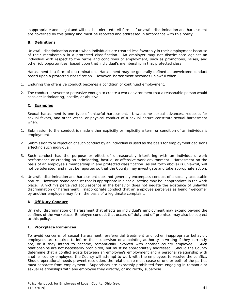inappropriate and illegal and will not be tolerated. All forms of unlawful discrimination and harassment are governed by this policy and must be reported and addressed in accordance with this policy.

#### **B. Definitions**

Unlawful discrimination occurs when individuals are treated less favorably in their employment because of their membership in a protected classification. An employer may not discriminate against an individual with respect to the terms and conditions of employment, such as promotions, raises, and other job opportunities, based upon that individual's membership in that protected class.

Harassment is a form of discrimination. Harassment may be generally defined as unwelcome conduct based upon a protected classification. However, harassment becomes unlawful when:

- 1. Enduring the offensive conduct becomes a condition of continued employment.
- 2. The conduct is severe or pervasive enough to create a work environment that a reasonable person would consider intimidating, hostile, or abusive.

#### **C. Examples**

Sexual harassment is one type of unlawful harassment. Unwelcome sexual advances, requests for sexual favors, and other verbal or physical conduct of a sexual nature constitute sexual harassment when:

- 1. Submission to the conduct is made either explicitly or implicitly a term or condition of an individual's employment.
- 2. Submission to or rejection of such conduct by an individual is used as the basis for employment decisions affecting such individual.
- 3. Such conduct has the purpose or effect of unreasonably interfering with an individual's work performance or creating an intimidating, hostile, or offensive work environment. Harassment on the basis of an employee's membership in any protected classification (as set forth above) is unlawful, will not be tolerated, and must be reported so that the County may investigate and take appropriate action.
- 4. Unlawful discrimination and harassment does not generally encompass conduct of a socially acceptable nature. However, some conduct that is appropriate in a social setting may be inappropriate in the work place. A victim's perceived acquiescence in the behavior does not negate the existence of unlawful discrimination or harassment. Inappropriate conduct that an employee perceives as being "welcome" by another employee may form the basis of a legitimate complaint.

#### **D. Off Duty Conduct**

Unlawful discrimination or harassment that affects an individual's employment may extend beyond the confines of the workplace. Employee conduct that occurs off duty and off premises may also be subject to this policy.

#### **E. Workplace Romances**

To avoid concerns of sexual harassment, preferential treatment and other inappropriate behavior, employees are required to inform their supervisor or appointing authority in writing if they currently are, or if they intend to become, romantically involved with another county employee. Such relationships are not necessarily prohibited, but must be appropriately addressed. Should the County determine that a conflict exists between an employee's employment and a personal relationship with another county employee, the County will attempt to work with the employees to resolve the conflict. Should operational needs prevent resolution, the relationship must cease or one or both of the parties must separate from employment. Supervisors are expressly prohibited from engaging in romantic or sexual relationships with any employee they directly, or indirectly, supervise.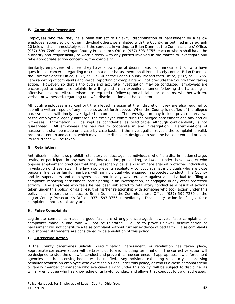#### **F. Complaint Procedure**

Employees who feel they have been subject to unlawful discrimination or harassment by a fellow employee, supervisor, or other individual otherwise affiliated with the County, as outlined in paragraph 10 below, shall immediately report the conduct, in writing, to Brian Dunn, at the Commissioners' Office, (937) 599-7280 or the Logan County Prosecutor's Office, (937) 593-3755, each of whom shall have the authority and responsibility to work directly with any parties involved in the matter to investigate and take appropriate action concerning the complaint.

Similarly, employees who feel they have knowledge of discrimination or harassment, or who have questions or concerns regarding discrimination or harassment, shall immediately contact Brian Dunn, at the Commissioners' Office, (937) 599-7280 or the Logan County Prosecutor's Office, (937) 593-3755. Late reporting of complaints and verbal reporting of complaints will not preclude the County from taking action. However, so that a thorough and accurate investigation may be conducted, employees are encouraged to submit complaints in writing and in an expedient manner following the harassing or offensive incident. All supervisors are required to follow up on all claims or concerns, whether written, verbal, or witnessed, regarding unlawful discrimination and harassment.

Although employees may confront the alleged harasser at their discretion, they are also required to submit a written report of any incidents as set forth above. When the County is notified of the alleged harassment, it will timely investigate the complaint. The investigation may include private interviews of the employee allegedly harassed, the employee committing the alleged harassment and any and all witnesses. Information will be kept as confidential as practicable, although confidentiality is not guaranteed. All employees are required to cooperate in any investigation. Determinations of harassment shall be made on a case-by-case basis. If the investigation reveals the complaint is valid, prompt attention and action, which may include discipline, designed to stop the harassment and prevent its recurrence will be taken.

#### **G. Retaliation**

Anti-discrimination laws prohibit retaliatory conduct against individuals who file a discrimination charge, testify, or participate in any way in an investigation, proceeding, or lawsuit under these laws, or who oppose employment practices that they reasonably believe discriminate against protected individuals, in violation of these laws. The law also prevents retaliatory conduct against individuals who are close personal friends or family members with an individual who engaged in protected conduct. The County and its supervisors and employees shall not in any way retaliate against an individual for filing a complaint, reporting harassment, participating in an investigation, or engaging in any other protected activity. Any employee who feels he has been subjected to retaliatory conduct as a result of actions taken under this policy, or as a result of his/her relationship with someone who took action under this policy, shall report the conduct to Brian Dunn, at the Commissioners' Office, (937) 599-7280 or the Logan County Prosecutor's Office, (937) 593-3755 immediately. Disciplinary action for filing a false complaint is not a retaliatory act.

#### **H. False Complaints**

Legitimate complaints made in good faith are strongly encouraged; however, false complaints or complaints made in bad faith will not be tolerated. Failure to prove unlawful discrimination or harassment will not constitute a false complaint without further evidence of bad faith. False complaints or dishonest statements are considered to be a violation of this policy.

#### **I. Corrective Action**

If the County determines unlawful discrimination, harassment, or retaliation has taken place, appropriate corrective action will be taken, up to and including termination. The corrective action will be designed to stop the unlawful conduct and prevent its reoccurrence. If appropriate, law enforcement agencies or other licensing bodies will be notified. Any individual exhibiting retaliatory or harassing behavior towards an employee who exercised a right under this policy, or who is a close personal friend or family member of someone who exercised a right under this policy, will be subject to discipline, as will any employee who has knowledge of unlawful conduct and allows that conduct to go unaddressed.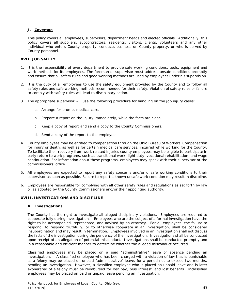#### **J. Coverage**

This policy covers all employees, supervisors, department heads and elected officials. Additionally, this policy covers all suppliers, subcontractors, residents, visitors, clients, volunteers and any other individual who enters County property, conducts business on County property, or who is served by County personnel.

#### **XVII. JOB SAFETY**

- 1. It is the responsibility of every department to provide safe working conditions, tools, equipment and work methods for its employees. The foreman or supervisor must address unsafe conditions promptly and ensure that all safety rules and good working methods are used by employees under his supervision.
- 2. It is the duty of all employees to use the safety equipment provided by the County and to follow all safety rules and safe working methods recommended for their safety. Violation of safety rules or failure to comply with safety rules will lead to disciplinary action.
- 3. The appropriate supervisor will use the following procedure for handling on the job injury cases:
	- a. Arrange for prompt medical care.
	- b. Prepare a report on the injury immediately, while the facts are clear.
	- c. Keep a copy of report and send a copy to the County Commissioners.
	- d. Send a copy of the report to the employee.
- 4. County employees may be entitled to compensation through the Ohio Bureau of Workers' Compensation for injury or death, as well as for certain medical care services, incurred while working for the County. To facilitate their recovery from work related injuries county employees may be eligible to participate in early return to work programs, such as transitional work, light duty, vocational rehabilitation, and wage continuation. For information about these programs, employees may speak with their supervisor or the commissioners' office.
- 5. All employees are expected to report any safety concerns and/or unsafe working conditions to their supervisor as soon as possible. Failure to report a known unsafe work condition may result in discipline.
- 6. Employees are responsible for complying with all other safety rules and regulations as set forth by law or as adopted by the County Commissioners and/or their appointing authority.

#### **XVIII. INVESTIGATIONS AND DISCIPLINE**

#### **A. Investigations**

The County has the right to investigate all alleged disciplinary violations. Employees are required to cooperate fully during investigations. Employees who are the subject of a formal investigation have the right to be accompanied, represented, and advised by an attorney. For all employees, the failure to respond, to respond truthfully, or to otherwise cooperate in an investigation, shall be considered insubordination and may result in termination. Employees involved in an investigation shall not discuss the facts of the investigation during the pendency of the investigation. Investigations shall be conducted upon receipt of an allegation of potential misconduct. Investigations shall be conducted promptly and in a reasonable and efficient manner to determine whether the alleged misconduct occurred.

Classified employees may be placed on a paid "administrative" leave of absence pending an investigation. A classified employee who has been charged with a violation of law that is punishable as a felony may be placed on unpaid "administrative" leave, for a period not to exceed two months, pending an investigation. However, a classified employee who is placed on unpaid leave and is later exonerated of a felony must be reimbursed for lost pay, plus interest, and lost benefits. Unclassified employees may be placed on paid or unpaid leave pending an investigation.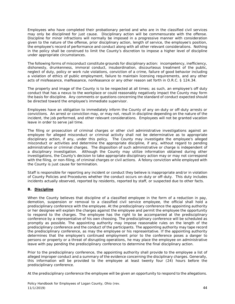Employees who have completed their probationary period and who are in the classified civil services may only be disciplined for just cause. Disciplinary action will be commensurate with the offense. Discipline for minor infractions will normally be imposed in a progressive manner with consideration given to the nature of the offense, prior disciplinary action, length of service, the employee's position, the employee's record of performance and conduct along with all other relevant considerations. Nothing in the policy shall be construed to limit the County's discretion to impose a higher level of discipline under appropriate circumstances.

The following forms of misconduct constitute grounds for disciplinary action: incompetency, inefficiency, dishonesty, drunkenness, immoral conduct, insubordination, discourteous treatment of the public, neglect of duty, policy or work rule violations, conviction of a crime, failure of good behavior including a violation of ethics of public employment, failure to maintain licensing requirements, and any other acts of misfeasance, malfeasance, nonfeasance or any other reason set forth in O.R.C. § 124.34.

The property and image of the County is to be respected at all times; as such, an employee's off duty conduct that has a nexus to the workplace or could reasonably negatively impact the County may form the basis for discipline. Any comments or questions concerning the standard of conduct expected should be directed toward the employee's immediate supervisor.

Employees have an obligation to immediately inform the County of any on-duty or off-duty arrests or convictions. An arrest or conviction may, or may not, result in discipline depending on the nature of the incident, the job performed, and other relevant considerations. Employees will not be granted vacation leave in order to serve jail time.

The filing or prosecution of criminal charges or other civil administrative investigations against an employee for alleged misconduct or criminal activity shall not be determinative as to appropriate disciplinary action, if any, under this policy. The County may investigate the employee's alleged misconduct or activities and determine the appropriate discipline, if any, without regard to pending administrative or criminal charges. The disposition of such administrative or charge is independent of a disciplinary investigation. Although the County may utilize information obtained during other investigations, the County's decision to take appropriate disciplinary action may or may not correspond with the filing, or non-filing, of criminal charges or civil actions. A felony conviction while employed with the County is just cause for termination.

Staff is responsible for reporting any incident or conduct they believe is inappropriate and/or in violation of County Policies and Procedures whether the conduct occurs on-duty or off-duty. This duty includes incidents actually observed, reported by residents, reported by staff, or suspected due to other facts.

#### **B. Discipline**

When the County believes that discipline of a classified employee in the form of a reduction in pay, demotion, suspension or removal to a classified civil service employee, the official shall hold a predisciplinary conference with the employee. At the predisciplinary conference the appointing authority or her designee will explain the charges against the employee and permit the employee the opportunity to respond to the charges. The employee has the right to be accompanied at the predisciplinary conference by a representative of his own choosing. The predisciplinary conference will be scheduled as promptly as possible. The appointing authority may impose reasonable rules on the length of the predisciplinary conference and the conduct of the participants. The appointing authority may tape record the predisciplinary conference, as may the employee or his representative. If the appointing authority determines that the employee's continued employment prior to the conference poses a danger to persons or property or a threat of disrupting operations, he may place the employee on administrative leave with pay pending the predisciplinary conference to determine the final disciplinary action.

Prior to the predisciplinary conference, the appointing authority shall provide to the employee a list of alleged improper conduct and a summary of the evidence concerning the disciplinary charges. Generally, this information will be provided to the employee at least twenty four (24) hours before the predisciplinary conference.

At the predisciplinary conference the employee will be given an opportunity to respond to the allegations.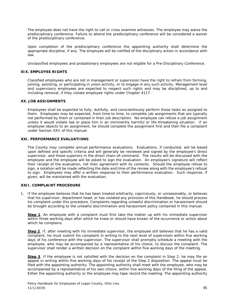The employee does not have the right to call or cross examine witnesses. The employee may waive the predisciplinary conference. Failure to attend the predisciplinary conference will be considered a waiver of the predisciplinary conference.

Upon completion of the predisciplinary conference the appointing authority shall determine the appropriate discipline, if any. The employee will be notified of the disciplinary action in accordance with law.

Unclassified employees and probationary employees are not eligible for a Pre-Disciplinary Conference.

#### **XIX. EMPLOYEE RIGHTS**

Classified employees who are not in management or supervision have the right to refrain from forming, joining, assisting, or participating in union activity, or to engage in any such activity. Management level and supervisory employees are expected to respect such rights and may be disciplined, up to and including removal, if they violate employee rights under Chapter 4117.

#### **XX. JOB ASSIGNMENTS**

Employees shall be expected to fully, dutifully, and conscientiously perform those tasks as assigned to them. Employees may be expected, from time to time, to complete job assignments that are typically not performed by them or contained in their job description. No employee can refuse a job assignment unless it would violate law or place him in an imminently harmful or life-threatening situation. If an employee objects to an assignment, he should complete the assignment first and then file a complaint under Section XXII of this manual.

#### **XXI. PERFORMANCE EVALUATIONS**

The County may complete annual performance evaluations. Evaluations, if conducted, will be based upon defined and specific criteria and will generally be reviewed and signed by the employee's direct supervisor, and those superiors in the direct chain-of-command. The results will be discussed with the employee and the employee will be asked to sign the evaluation. An employee's signature will reflect their receipt of the evaluation, not their agreement with its contents. Should the employee refuse to sign, a notation will be made reflecting the date and time of the review along with the employee's refusal to sign. Employees may offer a written response to their performance evaluation. Such response, if given, will be maintained with the evaluation.

#### **XXII. COMPLAINT PROCEDURE**

1. If the employee believes that he has been treated arbitrarily, capriciously, or unreasonably, or believes that his supervisor, department head, or has violated any provision of this Handbook, he should process his complaint under this procedure. Complaints regarding unlawful discrimination or harassment should be brought according to the unlawful discrimination and harassment policy contained in this manual.

**Step 1**. An employee with a complaint must first take the matter up with his immediate supervisor within three working days after which he knew or should have known of the occurrence or action about which he complains.

**Step 2**. If, after meeting with his immediate supervisor, the employee still believes that he has a valid complaint, he must submit his complaint in writing to the next level of supervision within five working days of his conference with the supervisor. The supervisor shall promptly schedule a meeting with the employee, who may be accompanied by a representative of his choice, to discuss the complaint. The supervisor shall render a written decision on the complaint within five working days of the meeting.

**Step 3**. If the employee is not satisfied with the decision on the complaint in Step 2, he may file an appeal in writing within five working days of his receipt of the Step 2 disposition. The appeal must be filed with the appointing authority. The appointing authority shall meet with the employee, who may be accompanied by a representative of his own choice, within five working days of the filing of the appeal. Either the appointing authority or the employee may tape record the meeting. The appointing authority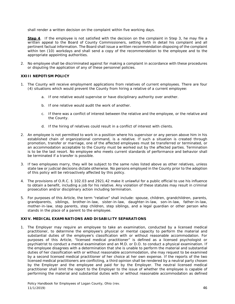shall render a written decision on the complaint within five working days.

**Step 4**. If the employee is not satisfied with the decision on the complaint in Step 3, he may file a written appeal to the Board of County Commissioners, setting forth in detail his complaint and all pertinent factual information. The Board shall issue a written recommendation disposing of the complaint within ten (10) workdays and shall send a copy of the recommendation to the employee and to the appropriate appointing authorities.

2. No employee shall be discriminated against for making a complaint in accordance with these procedures or disputing the application of any of these personnel policies.

#### **XXIII NEPOTISM POLICY**

- 1. The County will receive employment applications from relatives of current employees. There are four (4) situations which would prevent the County from hiring a relative of a current employee:
	- a. If one relative would supervise or have disciplinary authority over another.
	- b. If one relative would audit the work of another.
	- c. If there was a conflict of interest between the relative and the employee, or the relative and the County.
	- d. If the hiring of relatives could result in a conflict of interest with clients.
- 2. An employee is not permitted to work in a position where his supervisor or any person above him in his established chain of organizational command, is a relative. If such a situation is created through promotion, transfer or marriage, one of the affected employees must be transferred or terminated, or an accommodation acceptable to the County must be worked out by the affected parties. Termination is to be the last resort. No employee who meets current standards of performance and behavior shall be terminated if a transfer is possible.
- 3. If two employees marry, they will be subject to the same rules listed above as other relatives, unless state law or judicial decisions dictate otherwise. No persons employed in the County prior to the adoption of this policy will be retroactively affected by this policy.
- 4. The provisions of O.R.C. § 102.03 and 2921.42 make it unlawful for a public official to use his influence to obtain a benefit, including a job for his relative. Any violation of these statutes may result in criminal prosecution and/or disciplinary action including termination.
- 5. For purposes of this Article, the term "relative" shall include: spouse, children, grandchildren, parents, grandparents, siblings, brother-in-law, sister-in-law, daughter-in-law, son-in-law, father-in-law, mother-in-law, step parents, step children, step siblings, and a legal guardian or other person who stands in the place of a parent to the employee.

#### **XXIV. MEDICAL EXAMINATIONS AND DISABILITY SEPARATIONS**

1. The Employer may require an employee to take an examination, conducted by a licensed medical practitioner, to determine the employee's physical or mental capacity to perform the material and substantial duties of the employee's classification with or without reasonable accommodation. For purposes of this Article, "licensed medical practitioner" is defined as a licensed psychologist or psychiatrist to conduct a mental examination and an M.D. or D.O. to conduct a physical examination. If the employee disagrees with a determination that she is unable to perform the material and substantial duties of her classification with or without reasonable accommodation, she may request to be examined by a second licensed medical practitioner of her choice at her own expense. If the reports of the two licensed medical practitioners are conflicting, a third opinion shall be rendered by a neutral party chosen by the Employer and the employee and paid for by the Employer. The neutral licensed medical practitioner shall limit the report to the Employer to the issue of whether the employee is capable of performing the material and substantial duties with or without reasonable accommodation as defined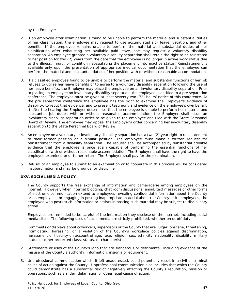by the Employer.

- 2. If an employee after examination is found to be unable to perform the material and substantial duties of her classification, the employee may request to use accumulated sick leave, vacation, and other benefits. If the employee remains unable to perform the material and substantial duties of her classification after exhausting her available paid leave, she may request a voluntary disability separation. An employee granted a voluntary disability separation shall retain the right to be reinstated to her position for two (2) years from the date that the employee is no longer in active work status due to the illness, injury, or condition necessitating the placement into inactive status. Reinstatement is available only upon the presentation of appropriate medical documentation that the employee can perform the material and substantial duties of her position with or without reasonable accommodation.
- 3. If a classified employee found to be unable to perform the material and substantial functions of her job refuses to utilize her leave benefits or to agree to a voluntary disability separation following the use of her leave benefits, the Employer may place the employee on an involuntary disability separation. Prior to placing an employee on involuntary disability separation, the employee is entitled to a pre separation conference. The employee must be given at least seventy two (72) hours' notice of this conference. At the pre separation conference the employee has the right to examine the Employer's evidence of disability, to rebut that evidence, and to present testimony and evidence on the employee's own behalf. If after the hearing the Employer determines that the employee is unable to perform her material and substantial job duties with or without reasonable accommodation, the Employer shall issue an involuntary disability separation order to be given to the employee and filed with the State Personnel Board of Review. The employee may appeal the Employer's order concerning her involuntary disability separation to the State Personnel Board of Review.
- 4. An employee on a voluntary or involuntary disability separation has a two (2) year right to reinstatement to their former position or a similar position. The employee must make a written request for reinstatement from a disability separation. The request shall be accompanied by substantial credible evidence that the employee is once again capable of performing the essential functions of her classification with or without reasonable accommodation. The Employer shall have the right to have the employee examined prior to her return. The Employer shall pay for the examination.
- 5. Refusal of an employee to submit to an examination or to cooperate in this process will be considered insubordination and may be grounds for discipline.

#### **XXV. SOCIAL MEDIA POLICY**

The County supports the free exchange of information and camaraderie among employees on the internet. However, when internet blogging, chat room discussions, email, text messages or other forms of electronic communication extend to employees revealing confidential information about the County or its employees, or engaging in posting inappropriate material about the County or its employees, the employee who posts such information or assists in posting such material may be subject to disciplinary action.

Employees are reminded to be careful of the information they disclose on the internet, including social media sites. The following uses of social media are strictly prohibited, whether on or off duty:

- 1. Comments or displays about coworkers, supervisors or the County that are vulgar, obscene, threatening, intimidating, harassing, or a violation of the County's workplace policies against discrimination, harassment or hostility on account of age, race, religion, sex, ethnicity, nationality, disability, military status or other protected class, status, or characteristic.
- 2. Statements or uses of the County's logo that are slanderous or detrimental, including evidence of the misuse of the County's authority, information, insignia or equipment.
- 3. Unprofessional communication which, if left unaddressed, could potentially result in a civil or criminal cause of action against the County. Unprofessional communication also includes that which the County could demonstrate has a substantial risk of negatively affecting the County's reputation, mission or operations, such as slander, defamation or other legal cause of action.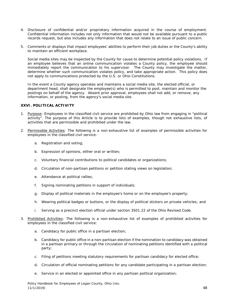- 4. Disclosure of confidential and/or proprietary information acquired in the course of employment. Confidential information includes not only information that would not be available pursuant to a public records request, but also includes any information that does not relate to an issue of public concern.
- 5. Comments or displays that impact employees' abilities to perform their job duties or the County's ability to maintain an efficient workplace.

Social media sites may be inspected by the County for cause to determine potential policy violations. If an employee believes that an online communication violates a County policy, the employee should immediately report the communication to his supervisor. The County may investigate the matter, determine whether such communication violates policy, and take appropriate action. This policy does not apply to communications protected by the U.S. or Ohio Constitutions.

In the event a County agency operates and maintains a social media site, the elected official, or department head, shall designate the employee(s) who is permitted to post, maintain and monitor the postings on behalf of the agency. Absent prior approval, employees shall not add, or remove, any information, or posting, from the agency's social media site.

#### **XXVI. POLITICAL ACTIVITY**

- 1. Purpose: Employees in the classified civil service are prohibited by Ohio law from engaging in "political activity". The purpose of this Article is to provide lists of examples, though not exhaustive lists, of activities that are permissible and prohibited under the law.
- 2. Permissible Activities: The following is a non-exhaustive list of examples of permissible activities for employees in the classified civil service:
	- a. Registration and voting;
	- b. Expression of opinions, either oral or written;
	- c. Voluntary financial contributions to political candidates or organizations;
	- d. Circulation of non-partisan petitions or petition stating views on legislation;
	- e. Attendance at political rallies;
	- f. Signing nominating petitions in support of individuals;
	- g. Display of political materials in the employee's home or on the employee's property;
	- h. Wearing political badges or buttons, or the display of political stickers on private vehicles; and
	- i. Serving as a precinct election official under section 3501.22 of the Ohio Revised Code.
- 3. Prohibited Activities: The following is a non-exhaustive list of examples of prohibited activities for employees in the classified civil service:
	- a. Candidacy for public office in a partisan election;
	- b. Candidacy for public office in a non-partisan election if the nomination to candidacy was obtained in a partisan primary or through the circulation of nominating petitions identified with a political party;
	- c. Filing of petitions meeting statutory requirements for partisan candidacy for elected office;
	- d. Circulation of official nominating petitions for any candidate participating in a partisan election;
	- e. Service in an elected or appointed office in any partisan political organization;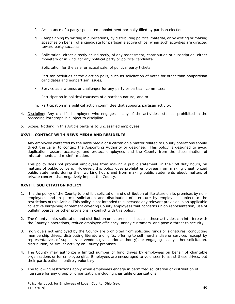- f. Acceptance of a party sponsored appointment normally filled by partisan election;
- g. Campaigning by writing in publications, by distributing political material, or by writing or making speeches on behalf of a candidate for partisan elective office, when such activities are directed toward party success;
- h. Solicitation, either directly or indirectly, of any assessment, contribution or subscription, either monetary or in kind, for any political party or political candidate;
- i. Solicitation for the sale, or actual sale, of political party tickets;
- j. Partisan activities at the election polls, such as solicitation of votes for other than nonpartisan candidates and nonpartisan issues;
- k. Service as a witness or challenger for any party or partisan committee;
- l. Participation in political caucuses of a partisan nature; and m.
- m. Participation in a political action committee that supports partisan activity.
- 4. Discipline: Any classified employee who engages in any of the activities listed as prohibited in the preceding Paragraph is subject to discipline.
- 5. Scope: Nothing in this Article pertains to unclassified employees.

#### **XXVII. CONTACT WITH NEWS MEDIA AND RESIDENTS**

Any employee contacted by the news media or a citizen on a matter related to County operations should direct the caller to contact the Appointing Authority or designee. This policy is designed to avoid duplication, assure accuracy, and protect employees and the County from the dissemination of misstatements and misinformation.

This policy does not prohibit employees from making a public statement, in their off duty hours, on matters of public concern. However, this policy does prohibit employees from making unauthorized public statements during their working hours and from making public statements about matters of private concern that negatively impact the County.

#### **XXVIII. SOLICITATION POLICY**

- 1. It is the policy of the County to prohibit solicitation and distribution of literature on its premises by nonemployees and to permit solicitation and distribution of literature by employees subject to the restrictions of this Article. This policy is not intended to supersede any relevant provision in an applicable collective bargaining agreement covering County employees that concerns union representation, use of bulletin boards, or other provisions in conflict with this policy.
- 2. The County limits solicitation and distribution on its premises because those activities can interfere with the County's operations, reduce employee efficiency, annoy customers, and pose a threat to security.
- 3. Individuals not employed by the County are prohibited from soliciting funds or signatures, conducting membership drives, distributing literature or gifts, offering to sell merchandise or services (except by representatives of suppliers or vendors given prior authority), or engaging in any other solicitation, distribution, or similar activity on County premises.
- 4. The County may authorize a limited number of fund drives by employees on behalf of charitable organizations or for employee gifts. Employees are encouraged to volunteer to assist these drives, but their participation is entirely voluntary.
- 5. The following restrictions apply when employees engage in permitted solicitation or distribution of literature for any group or organization, including charitable organizations: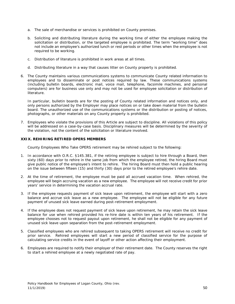- a. The sale of merchandise or services is prohibited on County premises.
- b. Soliciting and distributing literature during the working time of either the employee making the solicitation or distribution, or the targeted employee is prohibited. The term "working time" does not include an employee's authorized lunch or rest periods or other times when the employee is not required to be working.
- c. Distribution of literature is prohibited in work areas at all times.
- d. Distributing literature in a way that causes litter on County property is prohibited.
- 6. The County maintains various communications systems to communicate County related information to employees and to disseminate or post notices required by law. These communications systems (including bulletin boards, electronic mail, voice mail, telephone, facsimile machines, and personal computers) are for business use only and may not be used for employee solicitation or distribution of literature.

In particular, bulletin boards are for the posting of County related information and notices only, and only persons authorized by the Employer may place notices on or take down material from the bulletin board. The unauthorized use of the communications systems or the distribution or posting of notices, photographs, or other materials on any County property is prohibited.

7. Employees who violate the provisions of this Article are subject to discipline. All violations of this policy will be addressed on a case-by-case basis. Disciplinary measures will be determined by the severity of the violation, not the content of the solicitation or literature involved.

#### **XXIX. REHIRING RETIRED OPERS MEMBERS**

County Employees Who Take OPERS retirement may be rehired subject to the following:

- 1. In accordance with O.R.C. §145.381, if the retiring employee is subject to hire through a Board, then sixty (60) days prior to rehire in the same job from which the employee retired, the hiring Board must give public notice of the employee's intent to rehire. The hiring Board must then hold a public hearing on the issue between fifteen (15) and thirty (30) days prior to the retired employee's rehire date.
- 2. At the time of retirement, the employee must be paid all accrued vacation time. When rehired, the employee will begin accruing vacation as a new employee. The employee will not receive credit for prior years' service in determining the vacation accrual rate.
- 3. If the employee requests payment of sick leave upon retirement, the employee will start with a zero balance and accrue sick leave as a new employee. The employee will not be eligible for any future payment of unused sick leave earned during post-retirement employment.
- 4. If the employee does not request payment of sick leave upon retirement, he may retain the sick leave balance for use when rehired provided his re-hire date is within ten years of his retirement. If the employee chooses not to request payout upon retirement, he shall not be eligible for any payment of unused sick leave upon separation from the post-retirement employment.
- 5. Classified employees who are rehired subsequent to taking OPERS retirement will receive no credit for prior service. Rehired employees will start a new period of classified service for the purpose of calculating service credits in the event of layoff or other action affecting their employment.
- 6. Employees are required to notify their employer of their retirement date. The County reserves the right to start a rehired employee at a newly negotiated rate of pay.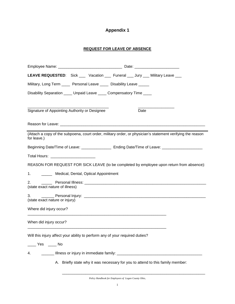# **Appendix 1**

#### **REQUEST FOR LEAVE OF ABSENCE**

| LEAVE REQUESTED: Sick ___ Vacation ___ Funeral ___ Jury ___ Military Leave ___ |                                                                                                            |  |  |  |
|--------------------------------------------------------------------------------|------------------------------------------------------------------------------------------------------------|--|--|--|
| Military, Long Term _____ Personal Leave _____ Disability Leave _____          |                                                                                                            |  |  |  |
| Disability Separation ____ Unpaid Leave ____ Compensatory Time ____            |                                                                                                            |  |  |  |
| Signature of Appointing Authority or Designee                                  | Date                                                                                                       |  |  |  |
|                                                                                |                                                                                                            |  |  |  |
| for leave.)                                                                    | (Attach a copy of the subpoena, court order, military order, or physician's statement verifying the reason |  |  |  |
|                                                                                | Beginning Date/Time of Leave: _____________________ Ending Date/Time of Leave: ____________________        |  |  |  |
| Total Hours: __________________________                                        |                                                                                                            |  |  |  |
|                                                                                | REASON FOR REQUEST FOR SICK LEAVE (to be completed by employee upon return from absence):                  |  |  |  |
| 1. _________ Medical, Dental, Optical Appointment                              |                                                                                                            |  |  |  |
| 2.<br>(state exact nature of illness)                                          |                                                                                                            |  |  |  |
| (state exact nature or injury)                                                 |                                                                                                            |  |  |  |
| Where did injury occur?                                                        |                                                                                                            |  |  |  |
| When did injury occur?                                                         |                                                                                                            |  |  |  |
| Will this injury affect your ability to perform any of your required duties?   |                                                                                                            |  |  |  |
| Yes No                                                                         |                                                                                                            |  |  |  |
| 4.                                                                             |                                                                                                            |  |  |  |
|                                                                                | A. Briefly state why it was necessary for you to attend to this family member:                             |  |  |  |

\_\_\_\_\_\_\_\_\_\_\_\_\_\_\_\_\_\_\_\_\_\_\_\_\_\_\_\_\_\_\_\_\_\_\_\_\_\_\_\_\_\_\_\_\_\_\_\_\_\_\_\_\_\_\_\_\_\_\_\_\_\_\_\_\_\_\_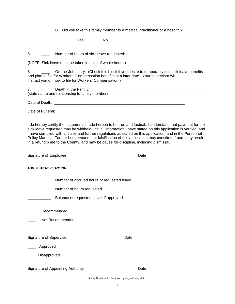B. Did you take this family member to a medical practitioner or a hospital?

\_\_\_\_\_\_ Yes \_\_\_\_\_\_ No

5. \_\_\_\_ Number of hours of sick leave requested:

\_\_\_\_\_\_\_\_\_\_\_\_\_\_\_\_\_\_\_\_\_\_\_\_\_\_\_\_\_\_\_\_\_\_\_\_\_\_

(NOTE: Sick leave must be taken in units of whole hours.)

6. \_\_\_\_\_\_\_\_\_\_\_\_\_ On-the-Job Injury. (Check this block if you desire to temporarily use sick leave benefits and plan to file for Workers' Compensation benefits at a later date. Your supervisor will instruct you on how to file for Workers' Compensation.)

|                | Death in the Family:                           |  |
|----------------|------------------------------------------------|--|
|                | (state name and relationship to family member) |  |
|                |                                                |  |
| Date of Death: |                                                |  |

Date of Funeral: **Date of Funeral:**  $\overline{a}$ 

I do hereby certify the statements made hereon to be true and factual. I understand that payment for the sick leave requested may be withheld until all information I have stated on this application is verified, and I have complied with all rules and further regulations as stated on this application, and in the Personnel Policy Manual. Further I understand that falsification of this application may constitute fraud, may result in a refund b me to the County, and may be cause for discipline, including dismissal.

| Signature of Employee                                                                                              | Date |
|--------------------------------------------------------------------------------------------------------------------|------|
| <b>ADMINISTRATIVE ACTION</b>                                                                                       |      |
| Number of accrued hours of requested leave<br>Number of hours requested<br>Balance of requested leave, if approved |      |
| Recommended<br>Not Recommended                                                                                     |      |
| Signature of Supervisor<br>Approved<br>Disapproved                                                                 | Date |
| Signature of Appointing Authority                                                                                  | Date |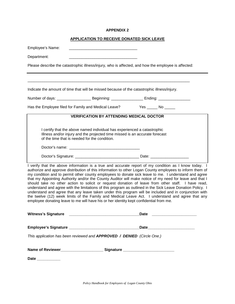#### **APPLICATION TO RECEIVE DONATED SICK LEAVE**

| Employee's Name:                                                                                                                                                                                         |  |  |  |
|----------------------------------------------------------------------------------------------------------------------------------------------------------------------------------------------------------|--|--|--|
| Department:                                                                                                                                                                                              |  |  |  |
| Please describe the catastrophic illness/injury, who is affected, and how the employee is affected:                                                                                                      |  |  |  |
|                                                                                                                                                                                                          |  |  |  |
| Indicate the amount of time that will be missed because of the catastrophic illness/injury.                                                                                                              |  |  |  |
|                                                                                                                                                                                                          |  |  |  |
| Has the Employee filed for Family and Medical Leave? Yes ______ No ______                                                                                                                                |  |  |  |
| <b>VERIFICATION BY ATTENDING MEDICAL DOCTOR</b>                                                                                                                                                          |  |  |  |
| I certify that the above named individual has experienced a catastrophic<br>Illness and/or injury and the projected time missed is an accurate forecast<br>of the time that is needed for the condition. |  |  |  |
|                                                                                                                                                                                                          |  |  |  |
|                                                                                                                                                                                                          |  |  |  |
| I verify that the above information is a true and accurate report of my condition as I know today. I                                                                                                     |  |  |  |

authorize and approve distribution of this information to other Logan County employees to inform them of my condition and to permit other county employees to donate sick leave to me. I understand and agree that my Appointing Authority and/or the County Auditor will make notice of my need for leave and that I should take no other action to solicit or request donation of leave from other staff. I have read, understand and agree with the limitations of this program as outlined in the Sick Leave Donation Policy. I understand and agree that any leave taken under this program will be included and in conjunction with the twelve (12) week limits of the Family and Medical Leave Act. I understand and agree that any employee donating leave to me will have his or her identity kept confidential from me.

|                                                                        | Date___________________________ |
|------------------------------------------------------------------------|---------------------------------|
| This application has been reviewed and APPROVED / DENIED (Circle One.) |                                 |
|                                                                        |                                 |
| Date ___________                                                       |                                 |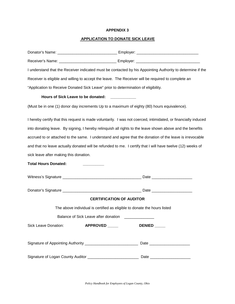## **APPLICATION TO DONATE SICK LEAVE**

|                                        | I understand that the Receiver indicated must be contacted by his Appointing Authority to determine if the     |  |  |
|----------------------------------------|----------------------------------------------------------------------------------------------------------------|--|--|
|                                        | Receiver is eligible and willing to accept the leave. The Receiver will be required to complete an             |  |  |
|                                        | "Application to Receive Donated Sick Leave" prior to determination of eligibility.                             |  |  |
|                                        | Hours of Sick Leave to be donated: ___________                                                                 |  |  |
|                                        | (Must be in one (1) donor day increments Up to a maximum of eighty (80) hours equivalence).                    |  |  |
|                                        | I hereby certify that this request is made voluntarily. I was not coerced, intimidated, or financially induced |  |  |
|                                        | into donating leave. By signing, I hereby relinquish all rights to the leave shown above and the benefits      |  |  |
|                                        | accrued to or attached to the same. I understand and agree that the donation of the leave is irrevocable       |  |  |
|                                        | and that no leave actually donated will be refunded to me. I certify that I will have twelve (12) weeks of     |  |  |
| sick leave after making this donation. |                                                                                                                |  |  |
| <b>Total Hours Donated:</b>            |                                                                                                                |  |  |
|                                        |                                                                                                                |  |  |
|                                        |                                                                                                                |  |  |
| <b>CERTIFICATION OF AUDITOR</b>        |                                                                                                                |  |  |
|                                        | The above individual is certified as eligible to donate the hours listed                                       |  |  |
|                                        | Balance of Sick Leave after donation ______                                                                    |  |  |
|                                        | Sick Leave Donation: <b>APPROVED</b> ______<br>DENIED _____                                                    |  |  |
|                                        | Signature of Appointing Authority ______________________________Date _______________________________           |  |  |
|                                        | Signature of Logan County Auditor ________________________________Date ____________________________            |  |  |

*Policy Handbook for Employees of Logan County, Ohio*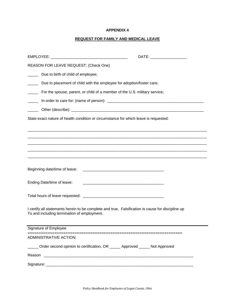## **REQUEST FOR FAMILY AND MEDICAL LEAVE**

|                                                                                                                                                  | DATE: ______________________ |  |
|--------------------------------------------------------------------------------------------------------------------------------------------------|------------------------------|--|
| REASON FOR LEAVE REQUEST: (Check One)                                                                                                            |                              |  |
| _______ Due to birth of child of employee;                                                                                                       |                              |  |
| Due to placement of child with the employee for adoption/foster care;                                                                            |                              |  |
| For the spouse, parent, or child of a member of the U.S. military service;<br><b>Contract Contract</b>                                           |                              |  |
| $\overline{\phantom{a}}$                                                                                                                         |                              |  |
|                                                                                                                                                  |                              |  |
| State exact nature of health condition or circumstance for which leave is requested:                                                             |                              |  |
|                                                                                                                                                  |                              |  |
|                                                                                                                                                  |                              |  |
|                                                                                                                                                  |                              |  |
|                                                                                                                                                  |                              |  |
| Beginning date/time of leave:                                                                                                                    |                              |  |
| Ending Date/time of leave:                                                                                                                       |                              |  |
|                                                                                                                                                  |                              |  |
| I certify all statements herein to be complete and true. Falsification is cause for discipline up<br>To and including termination of employment. |                              |  |
| Signature of Employee                                                                                                                            |                              |  |
| <b>ADMINISTRATIVE ACTION:</b>                                                                                                                    |                              |  |
| Order second opinion to certification, OR _____ Approved _____ Not Approved                                                                      |                              |  |
|                                                                                                                                                  |                              |  |
|                                                                                                                                                  |                              |  |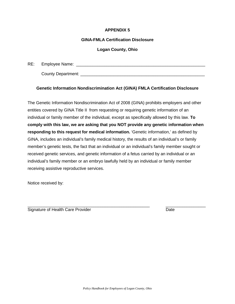#### **GINA-FMLA Certification Disclosure**

#### **Logan County, Ohio**

RE: Employee Name: \_\_\_\_\_\_\_\_\_\_\_\_\_\_\_\_\_\_\_\_\_\_\_\_\_\_\_\_\_\_\_\_\_\_\_\_\_\_\_\_\_\_\_\_\_\_\_\_\_\_\_\_\_\_\_

County Department: **Example 20** For all the set of  $\mathcal{L}$  and  $\mathcal{L}$  and  $\mathcal{L}$  and  $\mathcal{L}$  and  $\mathcal{L}$  and  $\mathcal{L}$  and  $\mathcal{L}$  and  $\mathcal{L}$  are set of  $\mathcal{L}$  and  $\mathcal{L}$  and  $\mathcal{L}$  are set of  $\mathcal{L}$  and

## **Genetic Information Nondiscrimination Act (GINA) FMLA Certification Disclosure**

The Genetic Information Nondiscrimination Act of 2008 (GINA) prohibits employers and other entities covered by GINA Title II from requesting or requiring genetic information of an individual or family member of the individual, except as specifically allowed by this law. **To comply with this law, we are asking that you NOT provide any genetic information when responding to this request for medical information.** 'Genetic information,' as defined by GINA, includes an individual's family medical history, the results of an individual's or family member's genetic tests, the fact that an individual or an individual's family member sought or received genetic services, and genetic information of a fetus carried by an individual or an individual's family member or an embryo lawfully held by an individual or family member receiving assistive reproductive services.

Notice received by:

\_\_\_\_\_\_\_\_\_\_\_\_\_\_\_\_\_\_\_\_\_\_\_\_\_\_\_\_\_\_\_\_\_\_\_\_\_\_\_\_\_\_\_\_\_\_\_\_\_\_\_\_ \_\_\_\_\_\_\_\_\_\_\_\_\_\_\_\_\_ Signature of Health Care Provider **Date** Date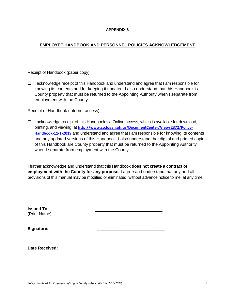#### **EMPLOYEE HANDBOOK AND PERSONNEL POLICIES ACKNOWLEDGEMENT**

Receipt of Handbook (paper copy):

 $\Box$  I acknowledge receipt of this Handbook and understand and agree that I am responsible for knowing its contents and for keeping it updated. I also understand that this Handbook is County property that must be returned to the Appointing Authority when I separate from employment with the County.

Receipt of Handbook (internet access):

 $\Box$  I acknowledge receipt of this Handbook via Online access, which is available for download, printing, and viewing at **[http://www.co.logan.oh.us/DocumentCenter/View/2372/Policy-](http://www.co.logan.oh.us/DocumentCenter/View/2372/Policy-Handbook-11-1-2019)[Handbook-11-1-2019](http://www.co.logan.oh.us/DocumentCenter/View/2372/Policy-Handbook-11-1-2019)** and understand and agree that I am responsible for knowing its contents and any updated versions of this Handbook. I also understand that digital and printed copies of this Handbook are County property that must be returned to the Appointing Authority when I separate from employment with the County.

I further acknowledge and understand that this Handbook **does not create a contract of employment with the County for any purpose.** I agree and understand that any and all provisions of this manual may be modified or eliminated, without advance notice to me, at any time.

| <b>Issued To:</b><br>(Print Name) |  |
|-----------------------------------|--|
| Signature:                        |  |
| Date Received:                    |  |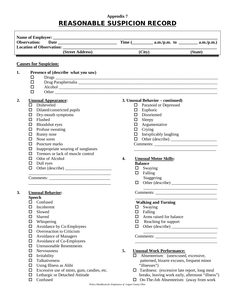# **Appendix 7** REASONABLE SUSPICION RECORD

| <b>Observation:</b>                                                                                                                                                                                                                                                                                                                                                                                                                  |                                           |                                                                                                                                                                                                                                                                          |         |
|--------------------------------------------------------------------------------------------------------------------------------------------------------------------------------------------------------------------------------------------------------------------------------------------------------------------------------------------------------------------------------------------------------------------------------------|-------------------------------------------|--------------------------------------------------------------------------------------------------------------------------------------------------------------------------------------------------------------------------------------------------------------------------|---------|
| Location of Observation: ____________                                                                                                                                                                                                                                                                                                                                                                                                | <u> 1990 - Johann Barbara, martin d</u>   |                                                                                                                                                                                                                                                                          |         |
| (Street Address)                                                                                                                                                                                                                                                                                                                                                                                                                     |                                           | (City)                                                                                                                                                                                                                                                                   | (State) |
| <b>Causes for Suspicion:</b>                                                                                                                                                                                                                                                                                                                                                                                                         |                                           |                                                                                                                                                                                                                                                                          |         |
| 1.<br>Presence of (describe what you saw)<br>□<br>$\Box$<br>$\Box$<br>Alcohol expression and the contract of the contract of the contract of the contract of the contract of the contract of the contract of the contract of the contract of the contract of the contract of the contract of the con<br>$\Box$                                                                                                                       |                                           |                                                                                                                                                                                                                                                                          |         |
| 2.<br><b>Unusual Appearance:</b><br>$\square$ Disheveled<br>$\Box$ Dilated/constricted pupils<br>Dry-mouth symptoms<br>$\Box$<br>Flushed<br>$\Box$<br>$\Box$<br><b>Bloodshot</b> eyes<br>Profuse sweating<br>$\Box$<br>Runny nose<br>◻<br>Nose sores<br>0<br>$\Box$<br>Puncture marks<br>Inappropriate wearing of sunglasses<br>□<br>Tremors or lack of muscle control<br>$\Box$<br>Odor of Alcohol<br>□<br>Dull eyes<br>0<br>$\Box$ | 0.<br>□<br>П.<br>□<br>0.<br>4.            | 3. Unusual Behavior – continued)<br>Paranoid or Depressed<br>Euphoric<br>Disoriented<br>Sleepy<br>ப<br>Argumentative<br>Crying<br>Inexplicably laughing<br>Comments:<br><b>Unusual Motor Skills:</b><br><b>Balance</b><br>$\Box$ Swaying<br>$\Box$ Falling<br>Staggering |         |
| 3.<br><b>Unusual Behavior:</b><br><b>Speech</b><br>$\Box$ Confused<br>$\Box$<br>Incoherent<br>Slowed<br>□<br>Slurred<br>$\Box$<br>Whispering<br>$\Box$<br>Avoidance by Co-Employees<br>$\Box$<br>Overreaction to Criticism<br>$\Box$<br><b>Avoidance of Managers</b><br>$\Box$                                                                                                                                                       | 0<br>$\Box$<br>0<br>$\Box$<br>0<br>$\Box$ | Other (describe)<br>Comments:<br><b>Walking and Turning</b><br>Swaying<br>Falling<br>Arms raised for balance<br>Reaching for support<br><u> 2000 - 2000 - 2000 - 2000 - 2000 - 2000 - 2000 - 2000 - 2000 - 2000 - 2000 - 2000 - 2000 - 2000 - 2000 - 200</u>             |         |

- $\Box$  Avoidance of Co-Employees
- Unreasonable Resentments
- 
- 
- 
- Using Illness as Alibi "illnesses")
- 
- 
- 

# Nervousness **5. Unusual Work Performance:**

- $\Box$  Absenteeism: (unexcused, excessive, Talkativeness patterned, bizarre excuses, frequent minor
- $\Box$  Excessive use of mints, gum, candies, etc.  $\Box$  Tardiness: (excessive late report, long meal  $\Box$  Lethargic or Detached Attitude breaks, leaving work early, afternoon "illness")
- Confused On-The-Job Absenteeism: (away from work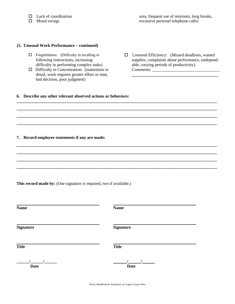#### **(5. Unusual Work Performance – continued)**

- 
- Difficulty in Concentration: (inattention to Comments: \_\_\_\_\_\_\_\_\_\_\_\_\_\_\_\_\_\_\_\_\_\_\_\_\_\_\_\_\_\_\_\_ detail, work requires greater effort or time, **\_\_\_\_\_\_\_\_\_\_\_\_\_\_\_\_\_\_\_\_\_\_\_\_\_\_\_\_\_\_\_\_\_\_\_\_\_\_\_\_\_** bad decision, poor judgment)
- $\Box$  Forgetfulness: (Difficulty in recalling or  $\Box$  Lowered Efficiency: (Missed deadlines, wasted following instructions, increasing supplies, complaints about performance, undependent supplies, complaints about performance, undepend-<br>able, varying periods of productivity). difficulty in performing complex tasks)able, varying periods of productivity).

#### **6. Describe any other relevant observed actions or behaviors:**

#### **7. Record employee statements if any are made:**

**This record made by:** (One signature is required, two if available.)

| <b>Name</b>      | <b>Name</b>      |
|------------------|------------------|
| <b>Signature</b> | <b>Signature</b> |
| <b>Title</b>     | <b>Title</b>     |
| <b>Date</b>      | <b>Date</b>      |

*Policy Handbook for Employees of Logan County Ohio*

**\_\_\_\_\_\_\_\_\_\_\_\_\_\_\_\_\_\_\_\_\_\_\_\_\_\_\_\_\_\_\_\_\_\_\_\_\_\_\_\_\_\_\_\_\_\_\_\_\_\_\_\_\_\_\_\_\_\_\_\_\_\_\_\_\_\_\_\_\_\_\_\_\_\_\_\_\_\_\_\_\_\_\_\_\_\_\_\_\_\_\_\_\_\_\_ \_\_\_\_\_\_\_\_\_\_\_\_\_\_\_\_\_\_\_\_\_\_\_\_\_\_\_\_\_\_\_\_\_\_\_\_\_\_\_\_\_\_\_\_\_\_\_\_\_\_\_\_\_\_\_\_\_\_\_\_\_\_\_\_\_\_\_\_\_\_\_\_\_\_\_\_\_\_\_\_\_\_\_\_\_\_\_\_\_\_\_\_\_\_\_ \_\_\_\_\_\_\_\_\_\_\_\_\_\_\_\_\_\_\_\_\_\_\_\_\_\_\_\_\_\_\_\_\_\_\_\_\_\_\_\_\_\_\_\_\_\_\_\_\_\_\_\_\_\_\_\_\_\_\_\_\_\_\_\_\_\_\_\_\_\_\_\_\_\_\_\_\_\_\_\_\_\_\_\_\_\_\_\_\_\_\_\_\_\_\_ \_\_\_\_\_\_\_\_\_\_\_\_\_\_\_\_\_\_\_\_\_\_\_\_\_\_\_\_\_\_\_\_\_\_\_\_\_\_\_\_\_\_\_\_\_\_\_\_\_\_\_\_\_\_\_\_\_\_\_\_\_\_\_\_\_\_\_\_\_\_\_\_\_\_\_\_\_\_\_\_\_\_\_\_\_\_\_\_\_\_\_\_\_\_\_**

**\_\_\_\_\_\_\_\_\_\_\_\_\_\_\_\_\_\_\_\_\_\_\_\_\_\_\_\_\_\_\_\_\_\_\_\_\_\_\_\_\_\_\_\_\_\_\_\_\_\_\_\_\_\_\_\_\_\_\_\_\_\_\_\_\_\_\_\_\_\_\_\_\_\_\_\_\_\_\_\_\_\_\_\_\_\_\_\_\_\_\_\_\_\_\_ \_\_\_\_\_\_\_\_\_\_\_\_\_\_\_\_\_\_\_\_\_\_\_\_\_\_\_\_\_\_\_\_\_\_\_\_\_\_\_\_\_\_\_\_\_\_\_\_\_\_\_\_\_\_\_\_\_\_\_\_\_\_\_\_\_\_\_\_\_\_\_\_\_\_\_\_\_\_\_\_\_\_\_\_\_\_\_\_\_\_\_\_\_\_\_ \_\_\_\_\_\_\_\_\_\_\_\_\_\_\_\_\_\_\_\_\_\_\_\_\_\_\_\_\_\_\_\_\_\_\_\_\_\_\_\_\_\_\_\_\_\_\_\_\_\_\_\_\_\_\_\_\_\_\_\_\_\_\_\_\_\_\_\_\_\_\_\_\_\_\_\_\_\_\_\_\_\_\_\_\_\_\_\_\_\_\_\_\_\_\_ \_\_\_\_\_\_\_\_\_\_\_\_\_\_\_\_\_\_\_\_\_\_\_\_\_\_\_\_\_\_\_\_\_\_\_\_\_\_\_\_\_\_\_\_\_\_\_\_\_\_\_\_\_\_\_\_\_\_\_\_\_\_\_\_\_\_\_\_\_\_\_\_\_\_\_\_\_\_\_\_\_\_\_\_\_\_\_\_\_\_\_\_\_\_\_**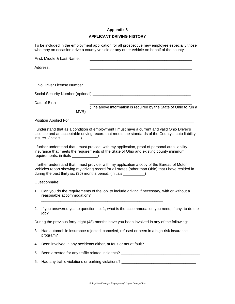#### **Appendix 8**

#### **APPLICANT DRIVING HISTORY**

To be included in the employment application for all prospective new employee especially those who may on occasion drive a county vehicle or any other vehicle on behalf of the county.

|    | First, Middle & Last Name:             |                                                                                                                                                                                                                                                                          |
|----|----------------------------------------|--------------------------------------------------------------------------------------------------------------------------------------------------------------------------------------------------------------------------------------------------------------------------|
|    | Address:                               |                                                                                                                                                                                                                                                                          |
|    |                                        |                                                                                                                                                                                                                                                                          |
|    | <b>Ohio Driver License Number</b>      |                                                                                                                                                                                                                                                                          |
|    |                                        |                                                                                                                                                                                                                                                                          |
|    | Date of Birth<br>MVR)                  | (The above information is required by the State of Ohio to run a                                                                                                                                                                                                         |
|    |                                        |                                                                                                                                                                                                                                                                          |
|    | insurer. (initials _________)          | I understand that as a condition of employment I must have a current and valid Ohio Driver's<br>License and an acceptable driving record that meets the standards of the County's auto liability                                                                         |
|    | requirements. (initials _____________) | I further understand that I must provide, with my application, proof of personal auto liability<br>insurance that meets the requirements of the State of Ohio and existing county minimum                                                                                |
|    |                                        | I further understand that I must provide, with my application a copy of the Bureau of Motor<br>Vehicles report showing my driving record for all states (other than Ohio) that I have resided in<br>during the past thirty six (36) months period. (initials __________) |
|    | Questionnaire:                         |                                                                                                                                                                                                                                                                          |
| 1. | reasonable accommodation?              | Can you do the requirements of the job, to include driving if necessary, with or without a                                                                                                                                                                               |
|    | job?                                   | 2. If you answered yes to question no. 1, what is the accommodation you need, if any, to do the                                                                                                                                                                          |
|    |                                        | During the previous forty-eight (48) months have you been involved in any of the following:                                                                                                                                                                              |
| 3. | program?                               | Had automobile insurance rejected, canceled, refused or been in a high-risk insurance                                                                                                                                                                                    |
| 4. |                                        | Been involved in any accidents either, at fault or not at fault? ___________________________________                                                                                                                                                                     |
| 5. |                                        | Been arrested for any traffic related incidents? _______________________________                                                                                                                                                                                         |
| 6. |                                        | Had any traffic violations or parking violations? _______________________________                                                                                                                                                                                        |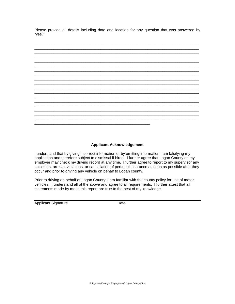Please provide all details including date and location for any question that was answered by "yes."



#### **Applicant Acknowledgement**

I understand that by giving incorrect information or by omitting information I am falsifying my application and therefore subject to dismissal if hired. I further agree that Logan County as my employer may check my driving record at any time. I further agree to report to my supervisor any accidents, arrests, violations, or cancellation of personal insurance as soon as possible after they occur and prior to driving any vehicle on behalf to Logan county.

Prior to driving on behalf of Logan County: I am familiar with the county policy for use of motor vehicles. I understand all of the above and agree to all requirements. I further attest that all statements made by me in this report are true to the best of my knowledge.

Applicant Signature Date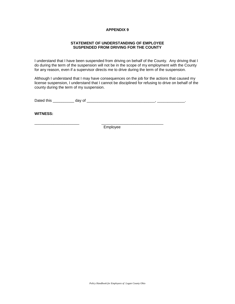#### **STATEMENT OF UNDERSTANDING OF EMPLOYEE SUSPENDED FROM DRIVING FOR THE COUNTY**

I understand that I have been suspended from driving on behalf of the County. Any driving that I do during the term of the suspension will not be in the scope of my employment with the County for any reason, even if a supervisor directs me to drive during the term of the suspension.

Although I understand that I may have consequences on the job for the actions that caused my license suspension, I understand that I cannot be disciplined for refusing to drive on behalf of the county during the term of my suspension.

Dated this \_\_\_\_\_\_\_\_\_\_ day of \_\_\_\_\_\_\_\_\_\_\_\_\_\_\_\_\_\_\_\_\_\_\_\_\_\_\_\_\_\_\_\_, \_\_\_\_\_\_\_\_\_\_\_\_\_.

**WITNESS:**

Employee

\_\_\_\_\_\_\_\_\_\_\_\_\_\_\_\_\_\_\_\_\_ \_\_\_\_\_\_\_\_\_\_\_\_\_\_\_\_\_\_\_\_\_\_\_\_\_\_\_\_\_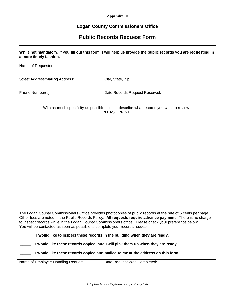#### **Appendix 10**

# **Logan County Commissioners Office**

# **Public Records Request Form**

#### **While not mandatory, if you fill out this form it will help us provide the public records you are requesting in a more timely fashion.**

| Name of Requestor:                                                                                                                                                                                                                                                                                                                                                                                                    |                                                                                                         |  |
|-----------------------------------------------------------------------------------------------------------------------------------------------------------------------------------------------------------------------------------------------------------------------------------------------------------------------------------------------------------------------------------------------------------------------|---------------------------------------------------------------------------------------------------------|--|
| <b>Street Address/Mailing Address:</b>                                                                                                                                                                                                                                                                                                                                                                                | City, State, Zip:                                                                                       |  |
| Phone Number(s):                                                                                                                                                                                                                                                                                                                                                                                                      | Date Records Request Received:                                                                          |  |
|                                                                                                                                                                                                                                                                                                                                                                                                                       | With as much specificity as possible, please describe what records you want to review.<br>PLEASE PRINT. |  |
| The Logan County Commissioners Office provides photocopies of public records at the rate of 5 cents per page.<br>Other fees are noted in the Public Records Policy. All requests require advance payment. There is no charge<br>to inspect records while in the Logan County Commissioners office. Please check your preference below.<br>You will be contacted as soon as possible to complete your records request. |                                                                                                         |  |
| I would like to inspect these records in the building when they are ready.                                                                                                                                                                                                                                                                                                                                            |                                                                                                         |  |
| I would like these records copied, and I will pick them up when they are ready.                                                                                                                                                                                                                                                                                                                                       |                                                                                                         |  |
| I would like these records copied and mailed to me at the address on this form.                                                                                                                                                                                                                                                                                                                                       |                                                                                                         |  |
| Name of Employee Handling Request:                                                                                                                                                                                                                                                                                                                                                                                    | Date Request Was Completed:                                                                             |  |